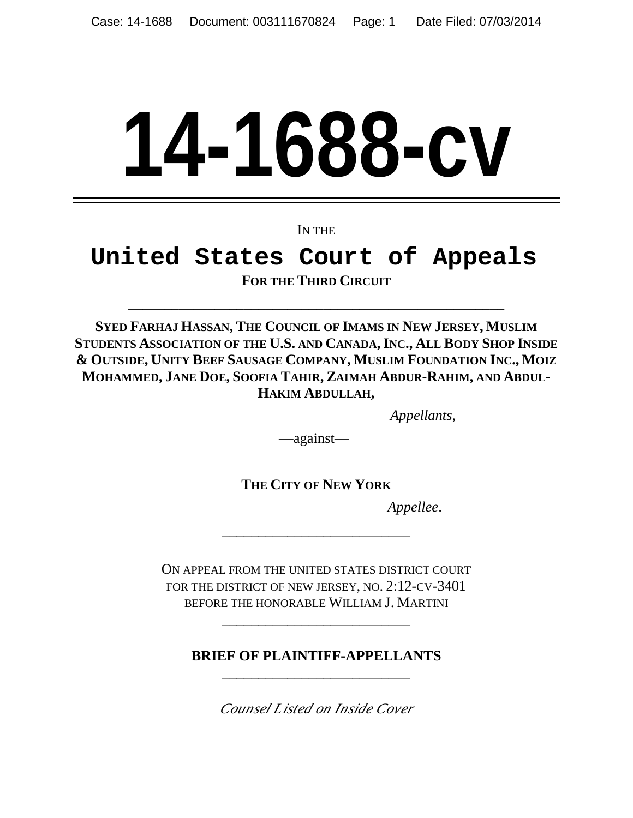# **14-1688-cv**

IN THE

# **United States Court of Appeals FOR THE THIRD CIRCUIT**

**SYED FARHAJ HASSAN, THE COUNCIL OF IMAMS IN NEW JERSEY, MUSLIM STUDENTS ASSOCIATION OF THE U.S. AND CANADA,INC., ALL BODY SHOP INSIDE & OUTSIDE, UNITY BEEF SAUSAGE COMPANY, MUSLIM FOUNDATION INC., MOIZ MOHAMMED, JANE DOE, SOOFIA TAHIR, ZAIMAH ABDUR-RAHIM, AND ABDUL-HAKIM ABDULLAH,** 

\_\_\_\_\_\_\_\_\_\_\_\_\_\_\_\_\_\_\_\_\_\_\_\_\_\_\_\_\_\_\_\_\_\_\_\_\_\_\_\_\_\_\_\_\_\_\_\_\_\_\_\_

*Appellants,*

—against—

**THE CITY OF NEW YORK**

\_\_\_\_\_\_\_\_\_\_\_\_\_\_\_\_\_\_\_\_\_\_\_\_\_\_

*Appellee*.

ON APPEAL FROM THE UNITED STATES DISTRICT COURT FOR THE DISTRICT OF NEW JERSEY, NO. 2:12-CV-3401 BEFORE THE HONORABLE WILLIAM J. MARTINI

\_\_\_\_\_\_\_\_\_\_\_\_\_\_\_\_\_\_\_\_\_\_\_\_\_\_

**BRIEF OF PLAINTIFF-APPELLANTS**  \_\_\_\_\_\_\_\_\_\_\_\_\_\_\_\_\_\_\_\_\_\_\_\_\_\_

*Counsel Listed on Inside Cover*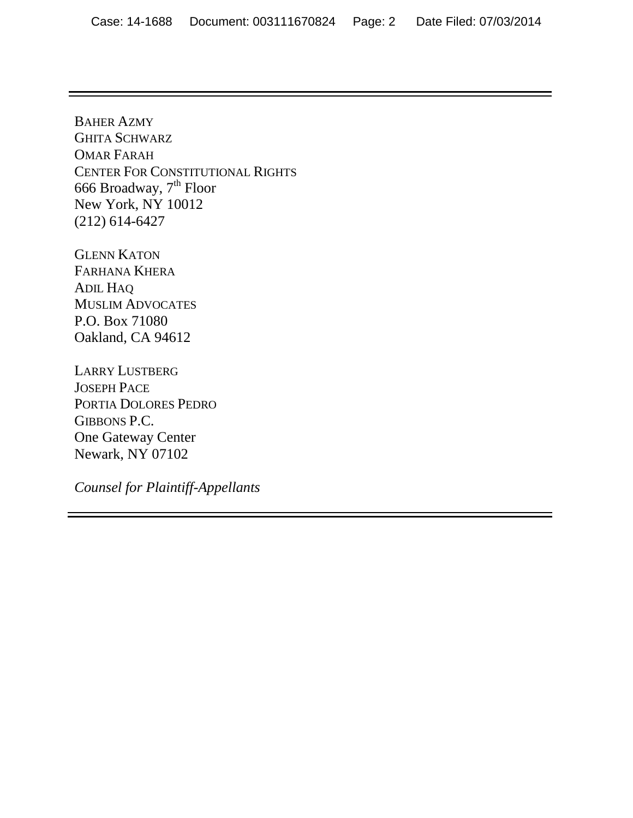BAHER AZMY GHITA SCHWARZ OMAR FARAH CENTER FOR CONSTITUTIONAL RIGHTS 666 Broadway, 7<sup>th</sup> Floor New York, NY 10012 (212) 614-6427

GLENN KATON FARHANA KHERA ADIL HAQ MUSLIM ADVOCATES P.O. Box 71080 Oakland, CA 94612

LARRY LUSTBERG JOSEPH PACE PORTIA DOLORES PEDRO GIBBONS P.C. One Gateway Center Newark, NY 07102

*Counsel for Plaintiff-Appellants*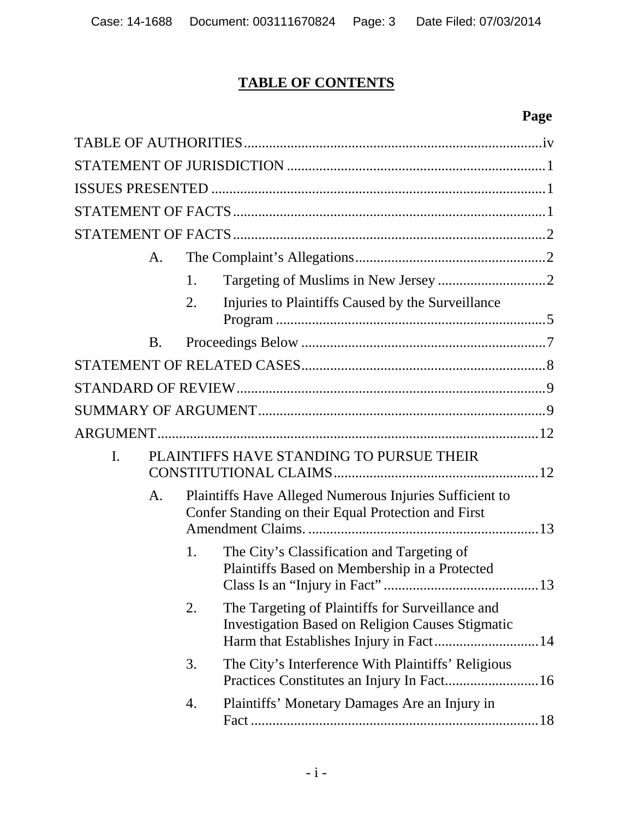# **TABLE OF CONTENTS**

# **Page**

|                                                | A.        |                                                                                                                |                                                                                                             |
|------------------------------------------------|-----------|----------------------------------------------------------------------------------------------------------------|-------------------------------------------------------------------------------------------------------------|
|                                                |           | 1.                                                                                                             |                                                                                                             |
|                                                |           | 2.                                                                                                             | Injuries to Plaintiffs Caused by the Surveillance                                                           |
|                                                | <b>B.</b> |                                                                                                                |                                                                                                             |
|                                                |           |                                                                                                                |                                                                                                             |
|                                                |           |                                                                                                                |                                                                                                             |
|                                                |           |                                                                                                                |                                                                                                             |
|                                                |           |                                                                                                                |                                                                                                             |
| PLAINTIFFS HAVE STANDING TO PURSUE THEIR<br>I. |           |                                                                                                                |                                                                                                             |
|                                                | A.        | Plaintiffs Have Alleged Numerous Injuries Sufficient to<br>Confer Standing on their Equal Protection and First |                                                                                                             |
|                                                |           | 1.                                                                                                             | The City's Classification and Targeting of<br>Plaintiffs Based on Membership in a Protected                 |
|                                                |           | 2.                                                                                                             | The Targeting of Plaintiffs for Surveillance and<br><b>Investigation Based on Religion Causes Stigmatic</b> |
|                                                |           | 3.                                                                                                             | The City's Interference With Plaintiffs' Religious<br>Practices Constitutes an Injury In Fact 16            |
|                                                |           | 4.                                                                                                             | Plaintiffs' Monetary Damages Are an Injury in                                                               |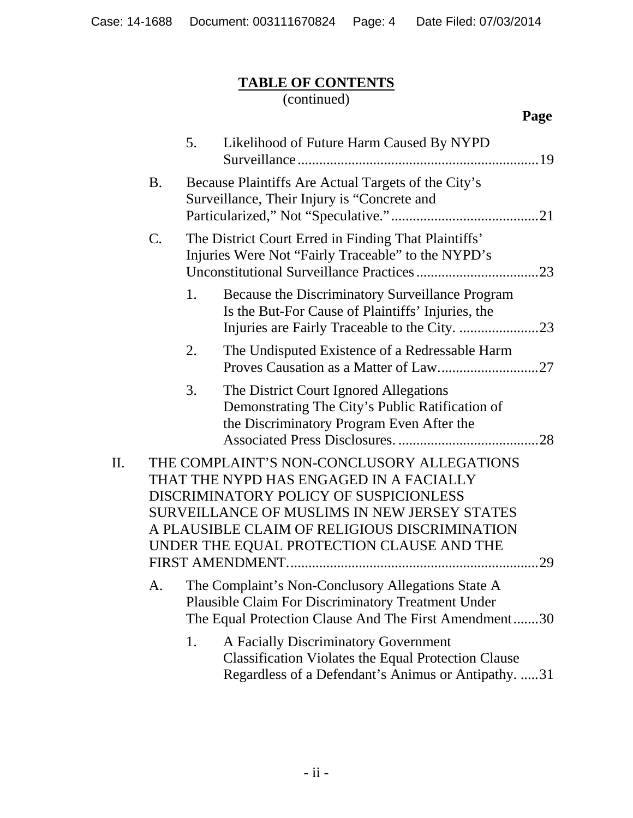# **TABLE OF CONTENTS**

#### (continued)

|    |           | 5. | Likelihood of Future Harm Caused By NYPD                                                                                                                                                                                                                                      |  |
|----|-----------|----|-------------------------------------------------------------------------------------------------------------------------------------------------------------------------------------------------------------------------------------------------------------------------------|--|
|    | <b>B.</b> |    | Because Plaintiffs Are Actual Targets of the City's<br>Surveillance, Their Injury is "Concrete and                                                                                                                                                                            |  |
|    | C.        |    | The District Court Erred in Finding That Plaintiffs'<br>Injuries Were Not "Fairly Traceable" to the NYPD's                                                                                                                                                                    |  |
|    |           | 1. | Because the Discriminatory Surveillance Program<br>Is the But-For Cause of Plaintiffs' Injuries, the                                                                                                                                                                          |  |
|    |           | 2. | The Undisputed Existence of a Redressable Harm                                                                                                                                                                                                                                |  |
|    |           | 3. | The District Court Ignored Allegations<br>Demonstrating The City's Public Ratification of<br>the Discriminatory Program Even After the                                                                                                                                        |  |
| П. |           |    | THE COMPLAINT'S NON-CONCLUSORY ALLEGATIONS<br>THAT THE NYPD HAS ENGAGED IN A FACIALLY<br>DISCRIMINATORY POLICY OF SUSPICIONLESS<br>SURVEILLANCE OF MUSLIMS IN NEW JERSEY STATES<br>A PLAUSIBLE CLAIM OF RELIGIOUS DISCRIMINATION<br>UNDER THE EQUAL PROTECTION CLAUSE AND THE |  |
|    | A.        |    | The Complaint's Non-Conclusory Allegations State A<br><b>Plausible Claim For Discriminatory Treatment Under</b><br>The Equal Protection Clause And The First Amendment30                                                                                                      |  |
|    |           | 1. | A Facially Discriminatory Government<br><b>Classification Violates the Equal Protection Clause</b><br>Regardless of a Defendant's Animus or Antipathy. 31                                                                                                                     |  |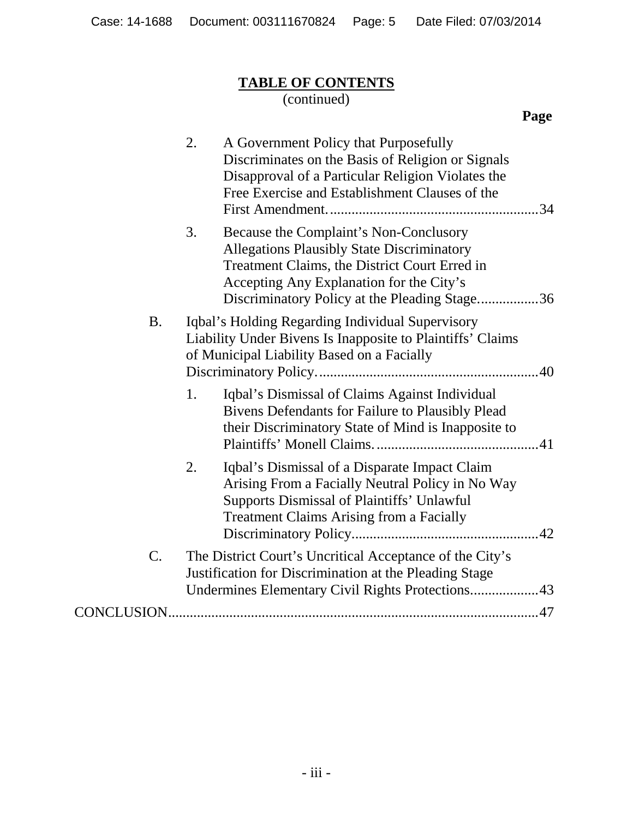# **TABLE OF CONTENTS**

#### (continued)

**Page**

|           | 2.<br>A Government Policy that Purposefully<br>Discriminates on the Basis of Religion or Signals<br>Disapproval of a Particular Religion Violates the<br>Free Exercise and Establishment Clauses of the                                         |
|-----------|-------------------------------------------------------------------------------------------------------------------------------------------------------------------------------------------------------------------------------------------------|
|           | 3.<br>Because the Complaint's Non-Conclusory<br><b>Allegations Plausibly State Discriminatory</b><br>Treatment Claims, the District Court Erred in<br>Accepting Any Explanation for the City's<br>Discriminatory Policy at the Pleading Stage36 |
| <b>B.</b> | Iqbal's Holding Regarding Individual Supervisory<br>Liability Under Bivens Is Inapposite to Plaintiffs' Claims<br>of Municipal Liability Based on a Facially                                                                                    |
|           | Iqbal's Dismissal of Claims Against Individual<br>1.<br>Bivens Defendants for Failure to Plausibly Plead<br>their Discriminatory State of Mind is Inapposite to                                                                                 |
|           | Iqbal's Dismissal of a Disparate Impact Claim<br>2.<br>Arising From a Facially Neutral Policy in No Way<br><b>Supports Dismissal of Plaintiffs' Unlawful</b><br><b>Treatment Claims Arising from a Facially</b>                                 |
| C.        | The District Court's Uncritical Acceptance of the City's<br>Justification for Discrimination at the Pleading Stage<br>Undermines Elementary Civil Rights Protections43                                                                          |
|           |                                                                                                                                                                                                                                                 |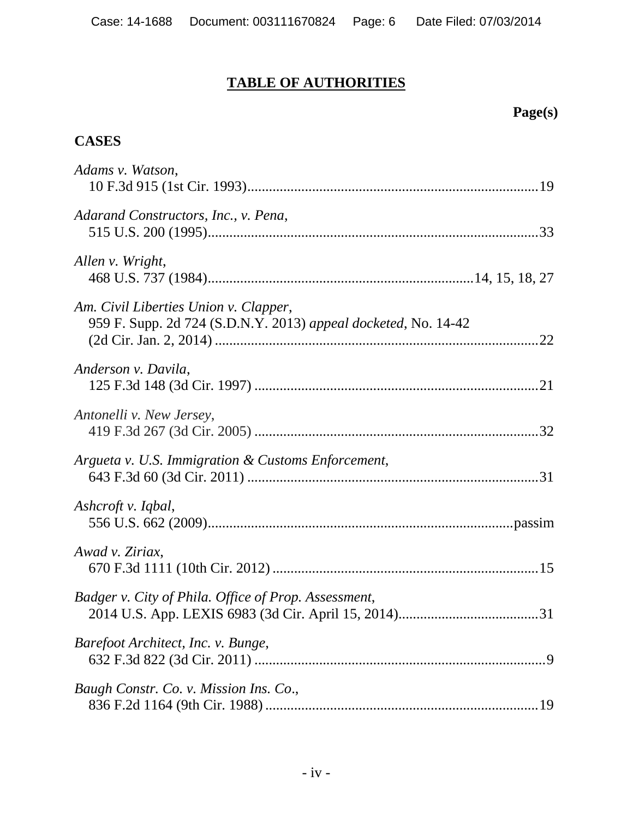# **TABLE OF AUTHORITIES**

# **CASES**

| Adams v. Watson,                                                                                        |
|---------------------------------------------------------------------------------------------------------|
| Adarand Constructors, Inc., v. Pena,                                                                    |
| Allen v. Wright,                                                                                        |
| Am. Civil Liberties Union v. Clapper,<br>959 F. Supp. 2d 724 (S.D.N.Y. 2013) appeal docketed, No. 14-42 |
| Anderson v. Davila,                                                                                     |
| Antonelli v. New Jersey,                                                                                |
| Argueta v. U.S. Immigration & Customs Enforcement,                                                      |
| Ashcroft v. Iqbal,                                                                                      |
| Awad v. Ziriax,                                                                                         |
| Badger v. City of Phila. Office of Prop. Assessment,                                                    |
| Barefoot Architect, Inc. v. Bunge,                                                                      |
| Baugh Constr. Co. v. Mission Ins. Co.,                                                                  |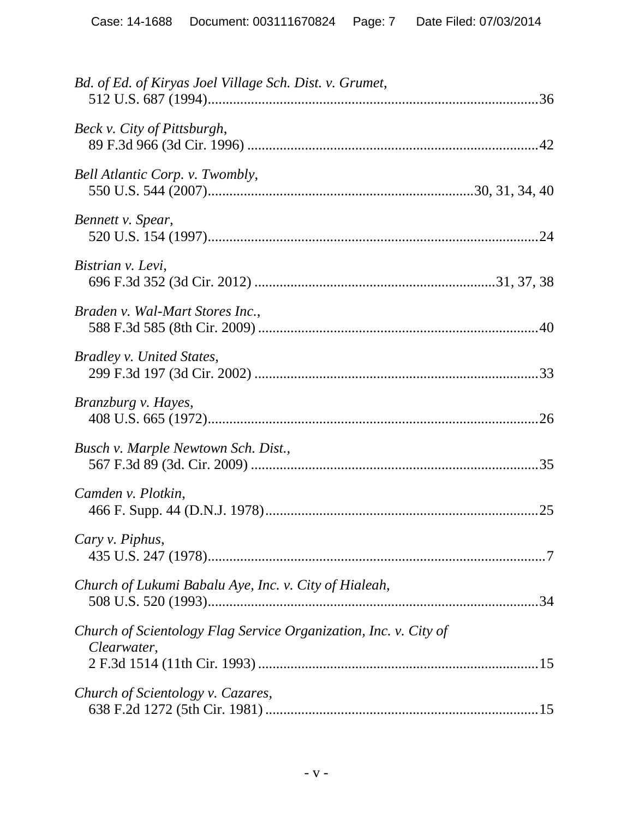| Bd. of Ed. of Kiryas Joel Village Sch. Dist. v. Grumet,                         |
|---------------------------------------------------------------------------------|
| Beck v. City of Pittsburgh,                                                     |
| Bell Atlantic Corp. v. Twombly,                                                 |
| Bennett v. Spear,                                                               |
| Bistrian v. Levi,                                                               |
| Braden v. Wal-Mart Stores Inc.,                                                 |
| Bradley v. United States,                                                       |
| Branzburg v. Hayes,                                                             |
| Busch v. Marple Newtown Sch. Dist.,                                             |
| Camden v. Plotkin,                                                              |
| Cary v. Piphus,                                                                 |
| Church of Lukumi Babalu Aye, Inc. v. City of Hialeah,                           |
| Church of Scientology Flag Service Organization, Inc. v. City of<br>Clearwater, |
| Church of Scientology v. Cazares,                                               |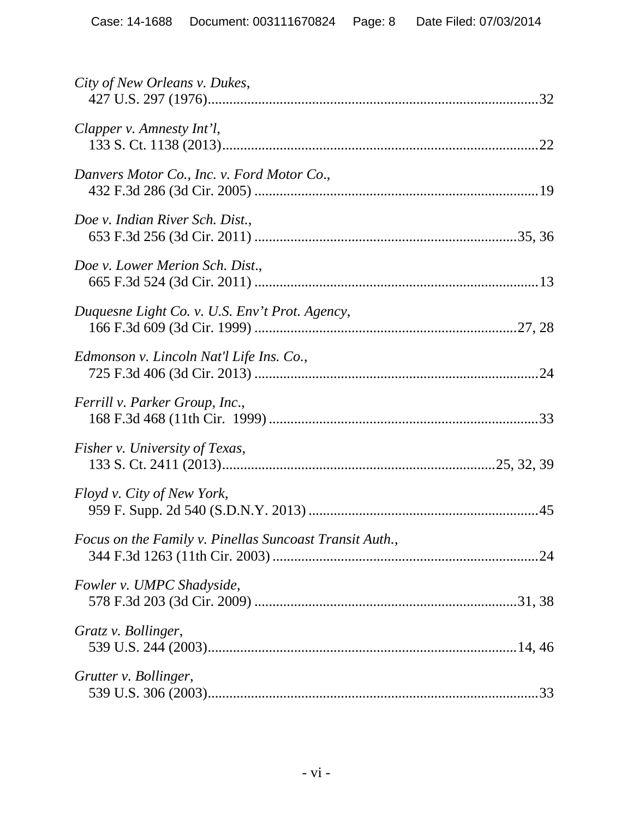| City of New Orleans v. Dukes,                           |
|---------------------------------------------------------|
| Clapper v. Amnesty Int'l,                               |
| Danvers Motor Co., Inc. v. Ford Motor Co.,              |
| Doe v. Indian River Sch. Dist.,                         |
| Doe v. Lower Merion Sch. Dist.,                         |
| Duquesne Light Co. v. U.S. Env't Prot. Agency,          |
| Edmonson v. Lincoln Nat'l Life Ins. Co.,                |
| Ferrill v. Parker Group, Inc.,                          |
| Fisher v. University of Texas,                          |
| Floyd v. City of New York,                              |
| Focus on the Family v. Pinellas Suncoast Transit Auth., |
| Fowler v. UMPC Shadyside,                               |
| Gratz v. Bollinger,                                     |
| Grutter v. Bollinger,                                   |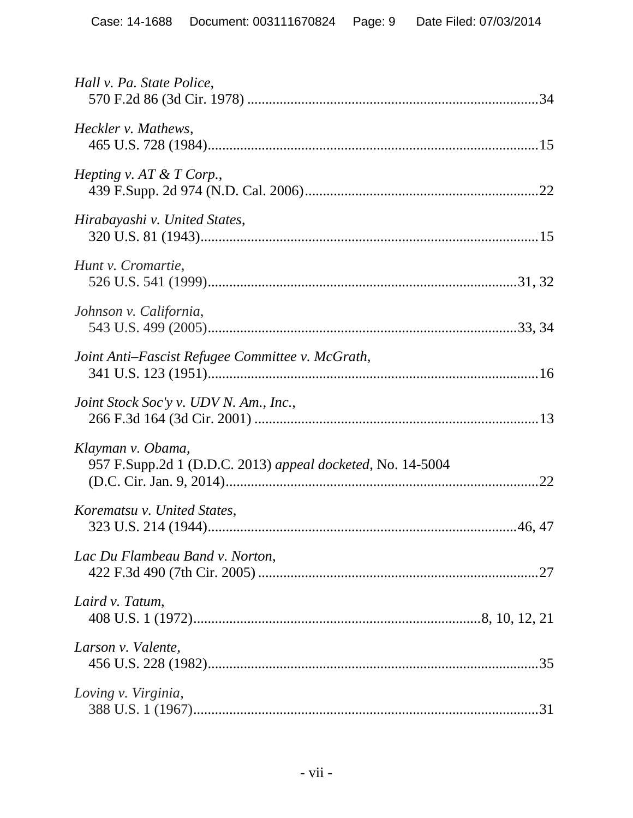| Hall v. Pa. State Police,                                                       |  |
|---------------------------------------------------------------------------------|--|
| Heckler v. Mathews,                                                             |  |
| <i>Hepting v. AT &amp; T Corp.,</i>                                             |  |
| Hirabayashi v. United States,                                                   |  |
| Hunt v. Cromartie,                                                              |  |
| Johnson v. California,                                                          |  |
| Joint Anti-Fascist Refugee Committee v. McGrath,                                |  |
| Joint Stock Soc'y v. UDV N. Am., Inc.,                                          |  |
| Klayman v. Obama,<br>957 F.Supp.2d 1 (D.D.C. 2013) appeal docketed, No. 14-5004 |  |
| Korematsu v. United States,                                                     |  |
| Lac Du Flambeau Band v. Norton,                                                 |  |
| Laird v. Tatum,                                                                 |  |
| Larson v. Valente,                                                              |  |
| Loving v. Virginia,                                                             |  |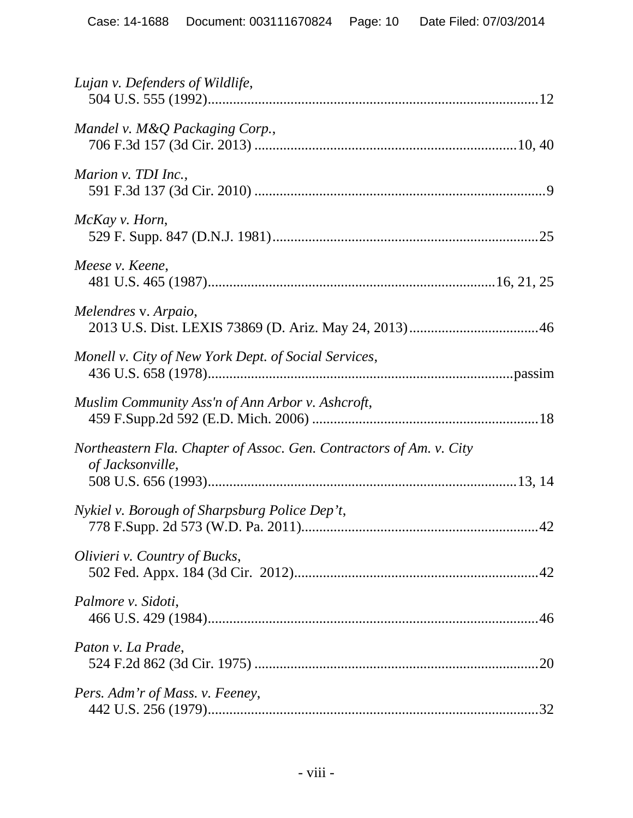| Lujan v. Defenders of Wildlife,                                                         |
|-----------------------------------------------------------------------------------------|
| Mandel v. M&Q Packaging Corp.,                                                          |
| Marion v. TDI Inc.,                                                                     |
| McKay v. Horn,                                                                          |
| Meese v. Keene,                                                                         |
| Melendres v. Arpaio,                                                                    |
| Monell v. City of New York Dept. of Social Services,                                    |
| Muslim Community Ass'n of Ann Arbor v. Ashcroft,                                        |
| Northeastern Fla. Chapter of Assoc. Gen. Contractors of Am. v. City<br>of Jacksonville, |
| Nykiel v. Borough of Sharpsburg Police Dep't,                                           |
| Olivieri v. Country of Bucks,                                                           |
| Palmore v. Sidoti,                                                                      |
| Paton v. La Prade,                                                                      |
| Pers. Adm'r of Mass. v. Feeney,                                                         |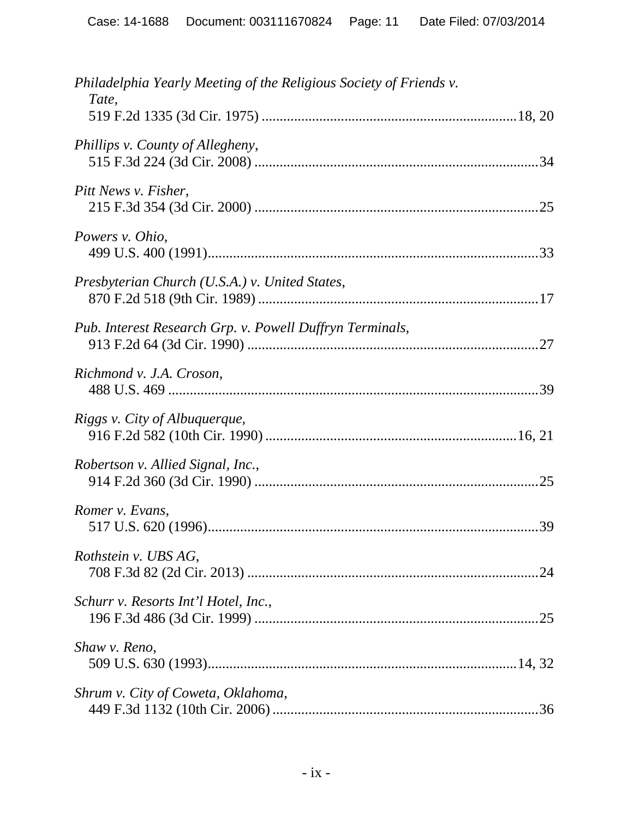| Philadelphia Yearly Meeting of the Religious Society of Friends v.<br>Tate, |     |
|-----------------------------------------------------------------------------|-----|
| Phillips v. County of Allegheny,                                            |     |
| Pitt News v. Fisher,                                                        |     |
| Powers v. Ohio,                                                             |     |
| Presbyterian Church (U.S.A.) v. United States,                              |     |
| Pub. Interest Research Grp. v. Powell Duffryn Terminals,                    |     |
| Richmond v. J.A. Croson,                                                    |     |
| Riggs v. City of Albuquerque,                                               |     |
| Robertson v. Allied Signal, Inc.,                                           |     |
| Romer v. Evans,                                                             |     |
| Rothstein v. UBS AG,                                                        | .24 |
| Schurr v. Resorts Int'l Hotel, Inc.,                                        |     |
| Shaw v. Reno,                                                               |     |
| Shrum v. City of Coweta, Oklahoma,                                          |     |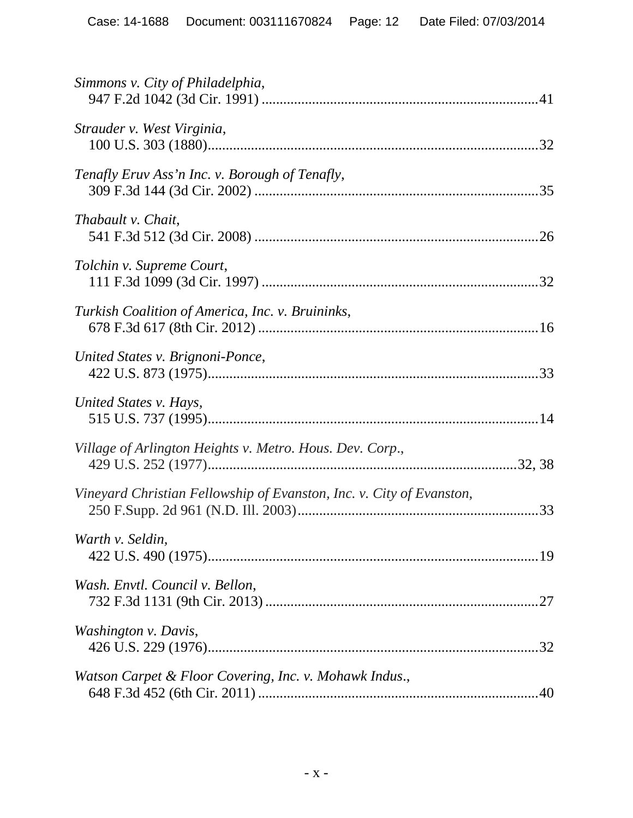| Simmons v. City of Philadelphia,                                     |
|----------------------------------------------------------------------|
| Strauder v. West Virginia,                                           |
| Tenafly Eruv Ass'n Inc. v. Borough of Tenafly,                       |
| Thabault v. Chait,                                                   |
| Tolchin v. Supreme Court,                                            |
| Turkish Coalition of America, Inc. v. Bruininks,                     |
| United States v. Brignoni-Ponce,                                     |
| United States v. Hays,                                               |
| Village of Arlington Heights v. Metro. Hous. Dev. Corp.,             |
| Vineyard Christian Fellowship of Evanston, Inc. v. City of Evanston, |
| Warth v. Seldin,                                                     |
| Wash. Envtl. Council v. Bellon,                                      |
| Washington v. Davis,                                                 |
| Watson Carpet & Floor Covering, Inc. v. Mohawk Indus.,               |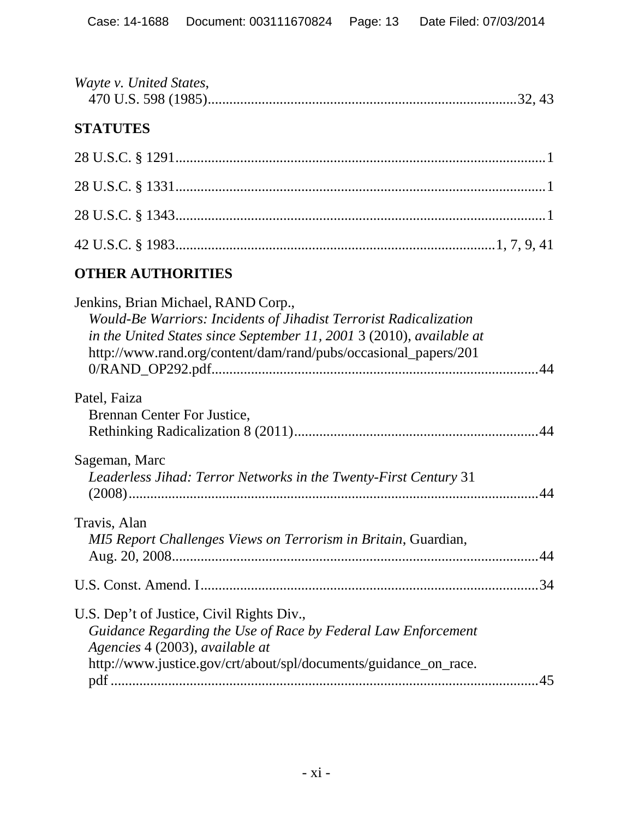| Wayte v. United States, |  |  |
|-------------------------|--|--|
|                         |  |  |

# **STATUTES**

# **OTHER AUTHORITIES**

| Jenkins, Brian Michael, RAND Corp.,                                  |    |
|----------------------------------------------------------------------|----|
| Would-Be Warriors: Incidents of Jihadist Terrorist Radicalization    |    |
| in the United States since September 11, 2001 3 (2010), available at |    |
| http://www.rand.org/content/dam/rand/pubs/occasional_papers/201      |    |
|                                                                      |    |
| Patel, Faiza                                                         |    |
| Brennan Center For Justice,                                          |    |
|                                                                      |    |
|                                                                      |    |
| Sageman, Marc                                                        |    |
| Leaderless Jihad: Terror Networks in the Twenty-First Century 31     |    |
|                                                                      |    |
| Travis, Alan                                                         |    |
| MI5 Report Challenges Views on Terrorism in Britain, Guardian,       |    |
|                                                                      |    |
|                                                                      |    |
|                                                                      |    |
| U.S. Dep't of Justice, Civil Rights Div.,                            |    |
| Guidance Regarding the Use of Race by Federal Law Enforcement        |    |
| Agencies 4 (2003), available at                                      |    |
| http://www.justice.gov/crt/about/spl/documents/guidance_on_race.     |    |
|                                                                      | 45 |
|                                                                      |    |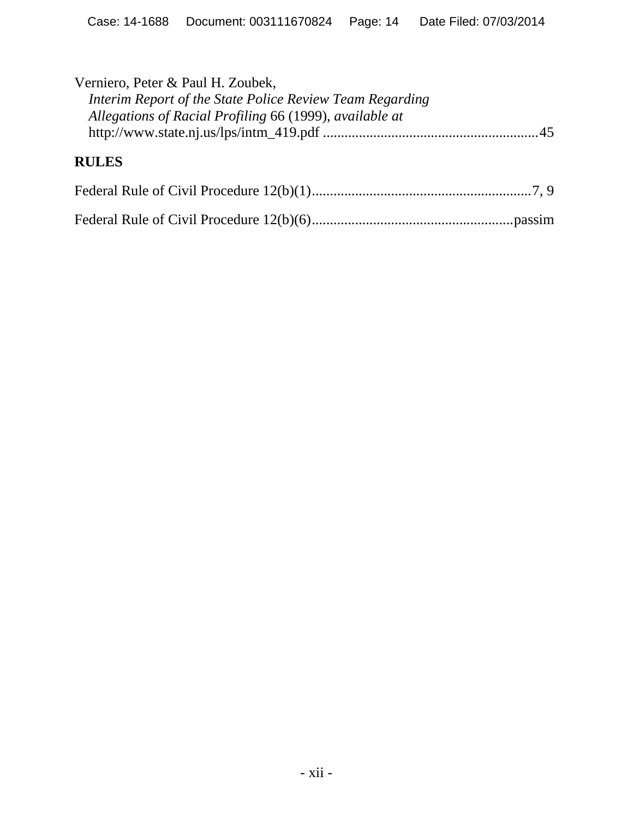| Verniero, Peter & Paul H. Zoubek,<br>Interim Report of the State Police Review Team Regarding<br>Allegations of Racial Profiling 66 (1999), available at |  |
|----------------------------------------------------------------------------------------------------------------------------------------------------------|--|
| <b>RULES</b>                                                                                                                                             |  |
|                                                                                                                                                          |  |
|                                                                                                                                                          |  |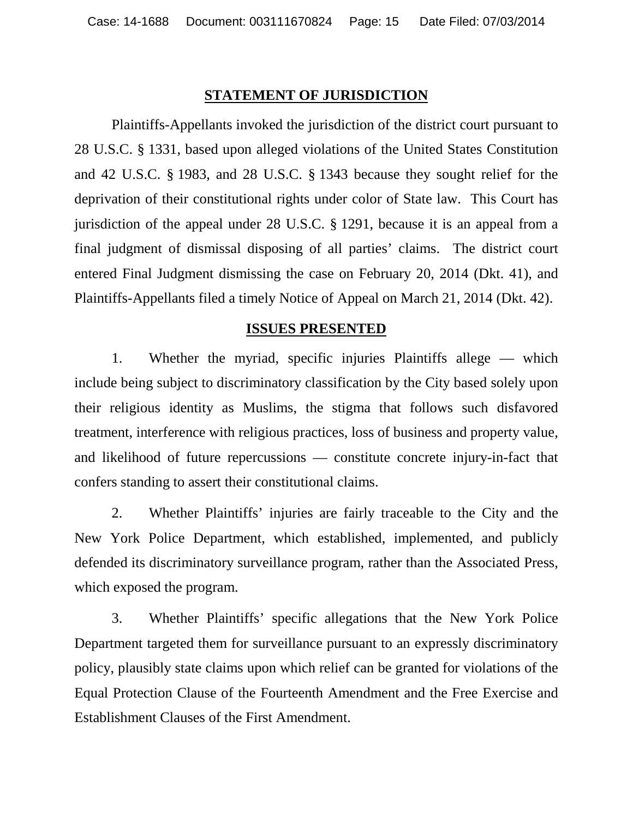#### **STATEMENT OF JURISDICTION**

Plaintiffs-Appellants invoked the jurisdiction of the district court pursuant to 28 U.S.C. § 1331, based upon alleged violations of the United States Constitution and 42 U.S.C. § 1983, and 28 U.S.C. § 1343 because they sought relief for the deprivation of their constitutional rights under color of State law. This Court has jurisdiction of the appeal under 28 U.S.C. § 1291, because it is an appeal from a final judgment of dismissal disposing of all parties' claims. The district court entered Final Judgment dismissing the case on February 20, 2014 (Dkt. 41), and Plaintiffs-Appellants filed a timely Notice of Appeal on March 21, 2014 (Dkt. 42).

#### **ISSUES PRESENTED**

1. Whether the myriad, specific injuries Plaintiffs allege — which include being subject to discriminatory classification by the City based solely upon their religious identity as Muslims, the stigma that follows such disfavored treatment, interference with religious practices, loss of business and property value, and likelihood of future repercussions — constitute concrete injury-in-fact that confers standing to assert their constitutional claims.

2. Whether Plaintiffs' injuries are fairly traceable to the City and the New York Police Department, which established, implemented, and publicly defended its discriminatory surveillance program, rather than the Associated Press, which exposed the program.

3. Whether Plaintiffs' specific allegations that the New York Police Department targeted them for surveillance pursuant to an expressly discriminatory policy, plausibly state claims upon which relief can be granted for violations of the Equal Protection Clause of the Fourteenth Amendment and the Free Exercise and Establishment Clauses of the First Amendment.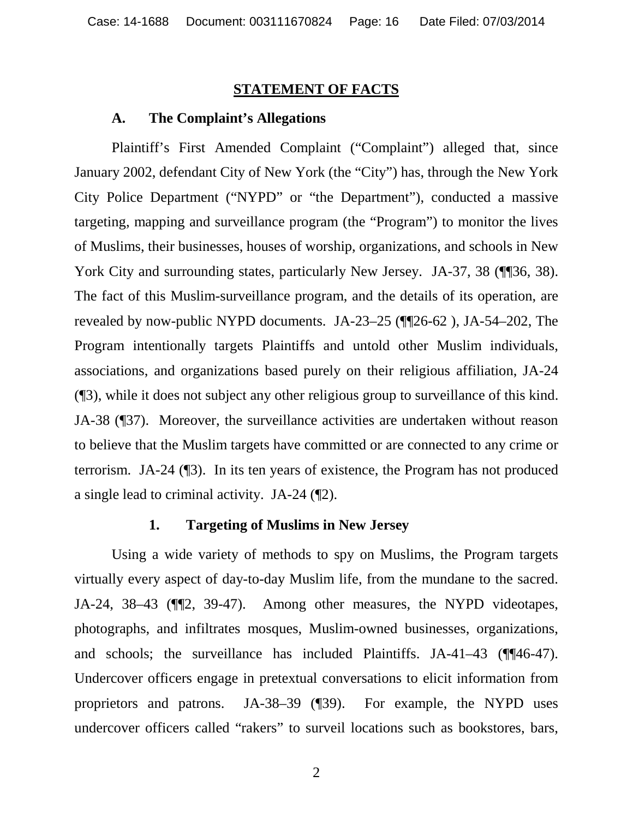#### **STATEMENT OF FACTS**

#### **A. The Complaint's Allegations**

Plaintiff's First Amended Complaint ("Complaint") alleged that, since January 2002, defendant City of New York (the "City") has, through the New York City Police Department ("NYPD" or "the Department"), conducted a massive targeting, mapping and surveillance program (the "Program") to monitor the lives of Muslims, their businesses, houses of worship, organizations, and schools in New York City and surrounding states, particularly New Jersey. JA-37, 38 (¶¶36, 38). The fact of this Muslim-surveillance program, and the details of its operation, are revealed by now-public NYPD documents. JA-23–25 (¶¶26-62 ), JA-54–202, The Program intentionally targets Plaintiffs and untold other Muslim individuals, associations, and organizations based purely on their religious affiliation, JA-24 (¶3), while it does not subject any other religious group to surveillance of this kind. JA-38 (¶37). Moreover, the surveillance activities are undertaken without reason to believe that the Muslim targets have committed or are connected to any crime or terrorism. JA-24 (¶3). In its ten years of existence, the Program has not produced a single lead to criminal activity. JA-24 (¶2).

#### **1. Targeting of Muslims in New Jersey**

Using a wide variety of methods to spy on Muslims, the Program targets virtually every aspect of day-to-day Muslim life, from the mundane to the sacred. JA-24, 38–43 (¶¶2, 39-47). Among other measures, the NYPD videotapes, photographs, and infiltrates mosques, Muslim-owned businesses, organizations, and schools; the surveillance has included Plaintiffs. JA-41–43 (¶¶46-47). Undercover officers engage in pretextual conversations to elicit information from proprietors and patrons. JA-38–39 (¶39). For example, the NYPD uses undercover officers called "rakers" to surveil locations such as bookstores, bars,

2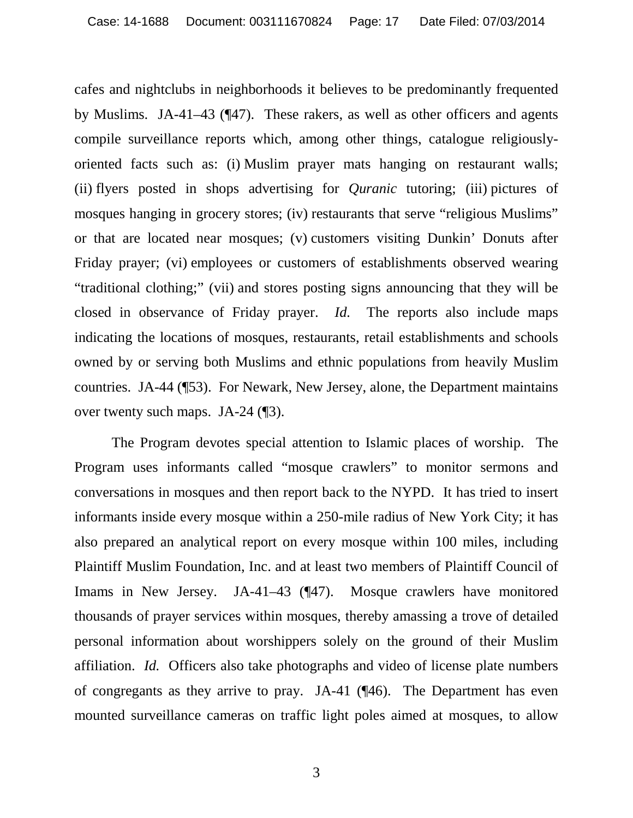cafes and nightclubs in neighborhoods it believes to be predominantly frequented by Muslims. JA-41–43 (¶47). These rakers, as well as other officers and agents compile surveillance reports which, among other things, catalogue religiouslyoriented facts such as: (i) Muslim prayer mats hanging on restaurant walls; (ii) flyers posted in shops advertising for *Quranic* tutoring; (iii) pictures of mosques hanging in grocery stores; (iv) restaurants that serve "religious Muslims" or that are located near mosques; (v) customers visiting Dunkin' Donuts after Friday prayer; (vi) employees or customers of establishments observed wearing "traditional clothing;" (vii) and stores posting signs announcing that they will be closed in observance of Friday prayer. *Id.* The reports also include maps indicating the locations of mosques, restaurants, retail establishments and schools owned by or serving both Muslims and ethnic populations from heavily Muslim countries. JA-44 (¶53). For Newark, New Jersey, alone, the Department maintains over twenty such maps. JA-24 (¶3).

The Program devotes special attention to Islamic places of worship. The Program uses informants called "mosque crawlers" to monitor sermons and conversations in mosques and then report back to the NYPD. It has tried to insert informants inside every mosque within a 250-mile radius of New York City; it has also prepared an analytical report on every mosque within 100 miles, including Plaintiff Muslim Foundation, Inc. and at least two members of Plaintiff Council of Imams in New Jersey. JA-41–43 (¶47). Mosque crawlers have monitored thousands of prayer services within mosques, thereby amassing a trove of detailed personal information about worshippers solely on the ground of their Muslim affiliation. *Id.* Officers also take photographs and video of license plate numbers of congregants as they arrive to pray. JA-41 (¶46). The Department has even mounted surveillance cameras on traffic light poles aimed at mosques, to allow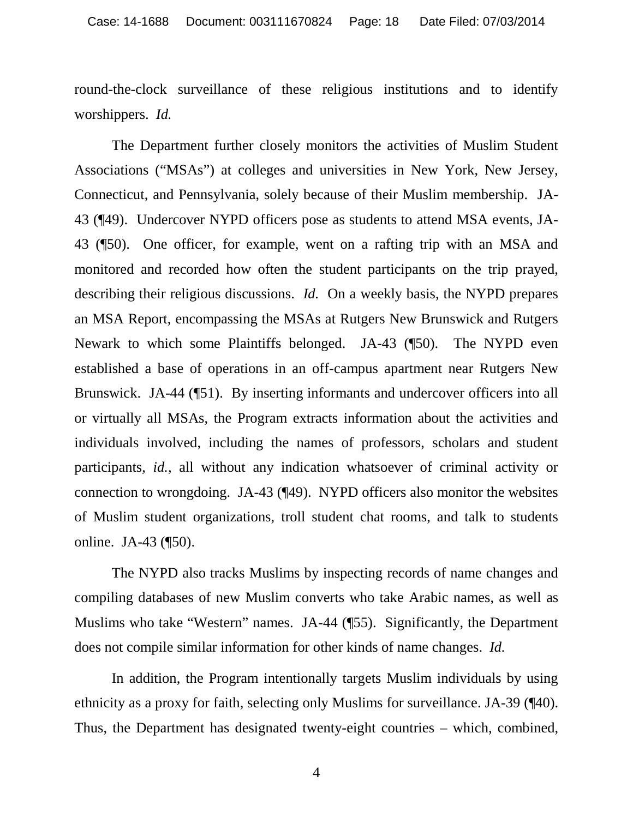round-the-clock surveillance of these religious institutions and to identify worshippers. *Id.* 

The Department further closely monitors the activities of Muslim Student Associations ("MSAs") at colleges and universities in New York, New Jersey, Connecticut, and Pennsylvania, solely because of their Muslim membership. JA-43 (¶49). Undercover NYPD officers pose as students to attend MSA events, JA-43 (¶50). One officer, for example, went on a rafting trip with an MSA and monitored and recorded how often the student participants on the trip prayed, describing their religious discussions. *Id.* On a weekly basis, the NYPD prepares an MSA Report, encompassing the MSAs at Rutgers New Brunswick and Rutgers Newark to which some Plaintiffs belonged. JA-43 (¶50). The NYPD even established a base of operations in an off-campus apartment near Rutgers New Brunswick. JA-44 (¶51). By inserting informants and undercover officers into all or virtually all MSAs, the Program extracts information about the activities and individuals involved, including the names of professors, scholars and student participants, *id.*, all without any indication whatsoever of criminal activity or connection to wrongdoing. JA-43 (¶49). NYPD officers also monitor the websites of Muslim student organizations, troll student chat rooms, and talk to students online. JA-43 (¶50).

The NYPD also tracks Muslims by inspecting records of name changes and compiling databases of new Muslim converts who take Arabic names, as well as Muslims who take "Western" names. JA-44 (¶55). Significantly, the Department does not compile similar information for other kinds of name changes. *Id.*

In addition, the Program intentionally targets Muslim individuals by using ethnicity as a proxy for faith, selecting only Muslims for surveillance. JA-39 (¶40). Thus, the Department has designated twenty-eight countries – which, combined,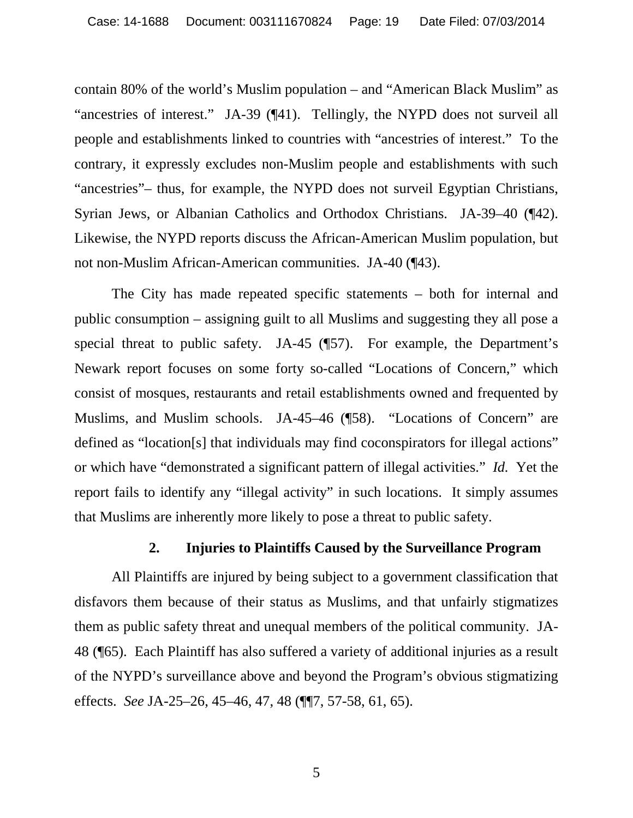contain 80% of the world's Muslim population – and "American Black Muslim" as "ancestries of interest." JA-39 (¶41). Tellingly, the NYPD does not surveil all people and establishments linked to countries with "ancestries of interest." To the contrary, it expressly excludes non-Muslim people and establishments with such "ancestries"– thus, for example, the NYPD does not surveil Egyptian Christians, Syrian Jews, or Albanian Catholics and Orthodox Christians. JA-39–40 (¶42). Likewise, the NYPD reports discuss the African-American Muslim population, but not non-Muslim African-American communities. JA-40 (¶43).

The City has made repeated specific statements – both for internal and public consumption – assigning guilt to all Muslims and suggesting they all pose a special threat to public safety. JA-45 (¶57). For example, the Department's Newark report focuses on some forty so-called "Locations of Concern," which consist of mosques, restaurants and retail establishments owned and frequented by Muslims, and Muslim schools. JA-45–46 (¶58). "Locations of Concern" are defined as "location[s] that individuals may find coconspirators for illegal actions" or which have "demonstrated a significant pattern of illegal activities." *Id.* Yet the report fails to identify any "illegal activity" in such locations. It simply assumes that Muslims are inherently more likely to pose a threat to public safety.

#### **2. Injuries to Plaintiffs Caused by the Surveillance Program**

All Plaintiffs are injured by being subject to a government classification that disfavors them because of their status as Muslims, and that unfairly stigmatizes them as public safety threat and unequal members of the political community. JA-48 (¶65). Each Plaintiff has also suffered a variety of additional injuries as a result of the NYPD's surveillance above and beyond the Program's obvious stigmatizing effects. *See* JA-25–26, 45–46, 47, 48 (¶¶7, 57-58, 61, 65).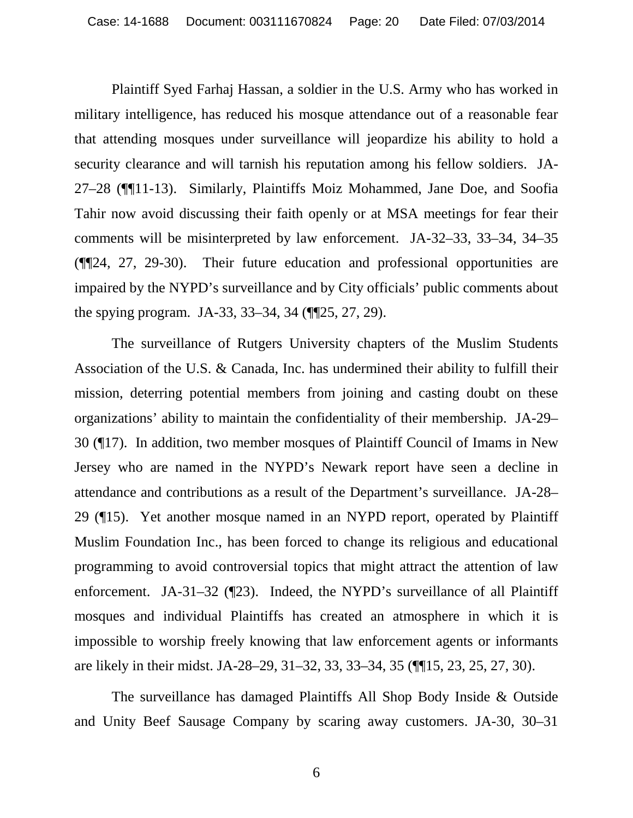Plaintiff Syed Farhaj Hassan, a soldier in the U.S. Army who has worked in military intelligence, has reduced his mosque attendance out of a reasonable fear that attending mosques under surveillance will jeopardize his ability to hold a security clearance and will tarnish his reputation among his fellow soldiers. JA-27–28 (¶¶11-13). Similarly, Plaintiffs Moiz Mohammed, Jane Doe, and Soofia Tahir now avoid discussing their faith openly or at MSA meetings for fear their comments will be misinterpreted by law enforcement. JA-32–33, 33–34, 34–35 (¶¶24, 27, 29-30). Their future education and professional opportunities are impaired by the NYPD's surveillance and by City officials' public comments about the spying program. JA-33, 33–34, 34 (¶¶25, 27, 29).

The surveillance of Rutgers University chapters of the Muslim Students Association of the U.S. & Canada, Inc. has undermined their ability to fulfill their mission, deterring potential members from joining and casting doubt on these organizations' ability to maintain the confidentiality of their membership. JA-29– 30 (¶17). In addition, two member mosques of Plaintiff Council of Imams in New Jersey who are named in the NYPD's Newark report have seen a decline in attendance and contributions as a result of the Department's surveillance. JA-28– 29 (¶15). Yet another mosque named in an NYPD report, operated by Plaintiff Muslim Foundation Inc., has been forced to change its religious and educational programming to avoid controversial topics that might attract the attention of law enforcement. JA-31–32 (¶23). Indeed, the NYPD's surveillance of all Plaintiff mosques and individual Plaintiffs has created an atmosphere in which it is impossible to worship freely knowing that law enforcement agents or informants are likely in their midst. JA-28–29, 31–32, 33, 33–34, 35 (¶¶15, 23, 25, 27, 30).

The surveillance has damaged Plaintiffs All Shop Body Inside & Outside and Unity Beef Sausage Company by scaring away customers. JA-30, 30–31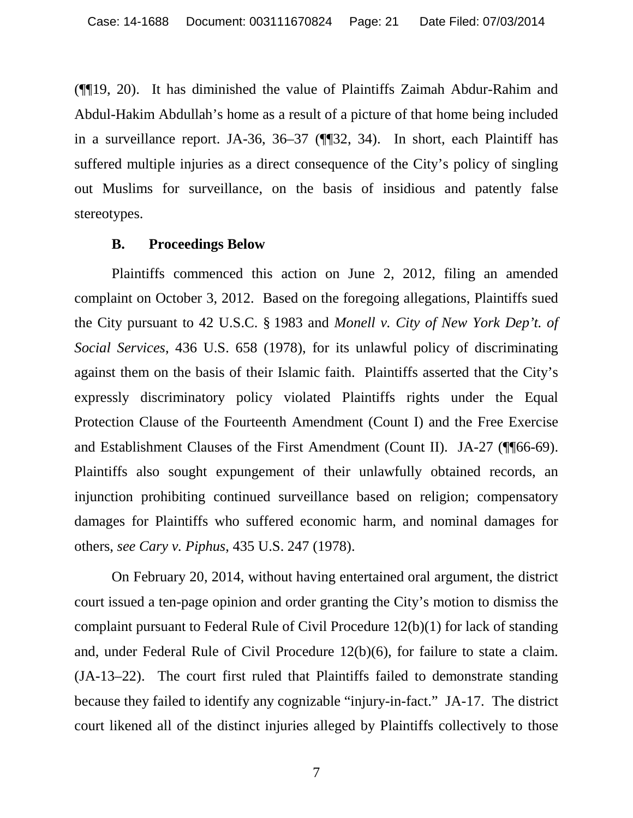(¶¶19, 20). It has diminished the value of Plaintiffs Zaimah Abdur-Rahim and Abdul-Hakim Abdullah's home as a result of a picture of that home being included in a surveillance report. JA-36, 36–37 (¶¶32, 34). In short, each Plaintiff has suffered multiple injuries as a direct consequence of the City's policy of singling out Muslims for surveillance, on the basis of insidious and patently false stereotypes.

#### **B. Proceedings Below**

Plaintiffs commenced this action on June 2, 2012, filing an amended complaint on October 3, 2012. Based on the foregoing allegations, Plaintiffs sued the City pursuant to 42 U.S.C. § 1983 and *Monell v. City of New York Dep't. of Social Services*, 436 U.S. 658 (1978), for its unlawful policy of discriminating against them on the basis of their Islamic faith. Plaintiffs asserted that the City's expressly discriminatory policy violated Plaintiffs rights under the Equal Protection Clause of the Fourteenth Amendment (Count I) and the Free Exercise and Establishment Clauses of the First Amendment (Count II). JA-27 (¶¶66-69). Plaintiffs also sought expungement of their unlawfully obtained records, an injunction prohibiting continued surveillance based on religion; compensatory damages for Plaintiffs who suffered economic harm, and nominal damages for others, *see Cary v. Piphus*, 435 U.S. 247 (1978).

On February 20, 2014, without having entertained oral argument, the district court issued a ten-page opinion and order granting the City's motion to dismiss the complaint pursuant to Federal Rule of Civil Procedure 12(b)(1) for lack of standing and, under Federal Rule of Civil Procedure 12(b)(6), for failure to state a claim. (JA-13–22). The court first ruled that Plaintiffs failed to demonstrate standing because they failed to identify any cognizable "injury-in-fact." JA-17. The district court likened all of the distinct injuries alleged by Plaintiffs collectively to those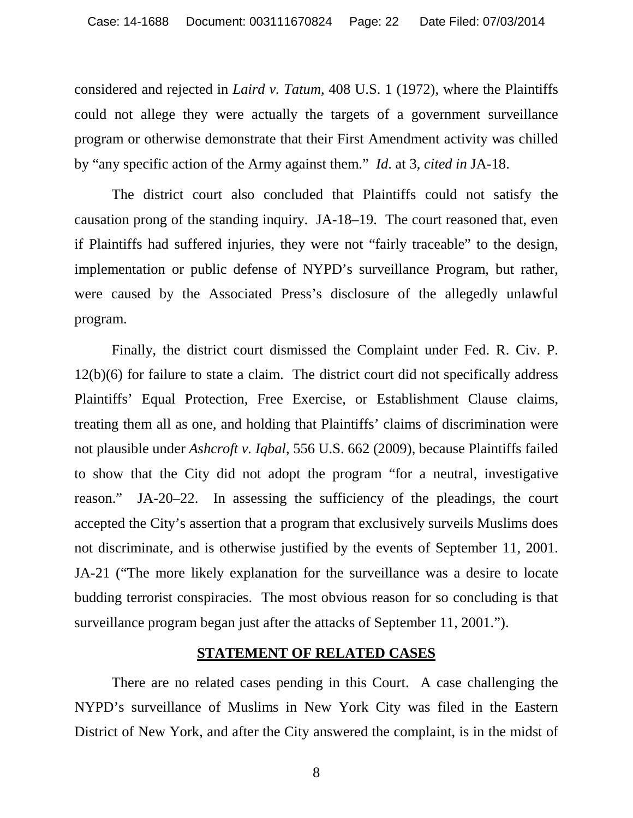considered and rejected in *Laird v. Tatum*, 408 U.S. 1 (1972), where the Plaintiffs could not allege they were actually the targets of a government surveillance program or otherwise demonstrate that their First Amendment activity was chilled by "any specific action of the Army against them." *Id*. at 3, *cited in* JA-18.

The district court also concluded that Plaintiffs could not satisfy the causation prong of the standing inquiry. JA-18–19. The court reasoned that, even if Plaintiffs had suffered injuries, they were not "fairly traceable" to the design, implementation or public defense of NYPD's surveillance Program, but rather, were caused by the Associated Press's disclosure of the allegedly unlawful program.

Finally, the district court dismissed the Complaint under Fed. R. Civ. P. 12(b)(6) for failure to state a claim. The district court did not specifically address Plaintiffs' Equal Protection, Free Exercise, or Establishment Clause claims, treating them all as one, and holding that Plaintiffs' claims of discrimination were not plausible under *Ashcroft v. Iqbal*, 556 U.S. 662 (2009), because Plaintiffs failed to show that the City did not adopt the program "for a neutral, investigative reason." JA-20–22. In assessing the sufficiency of the pleadings, the court accepted the City's assertion that a program that exclusively surveils Muslims does not discriminate, and is otherwise justified by the events of September 11, 2001. JA-21 ("The more likely explanation for the surveillance was a desire to locate budding terrorist conspiracies. The most obvious reason for so concluding is that surveillance program began just after the attacks of September 11, 2001.").

#### **STATEMENT OF RELATED CASES**

There are no related cases pending in this Court. A case challenging the NYPD's surveillance of Muslims in New York City was filed in the Eastern District of New York, and after the City answered the complaint, is in the midst of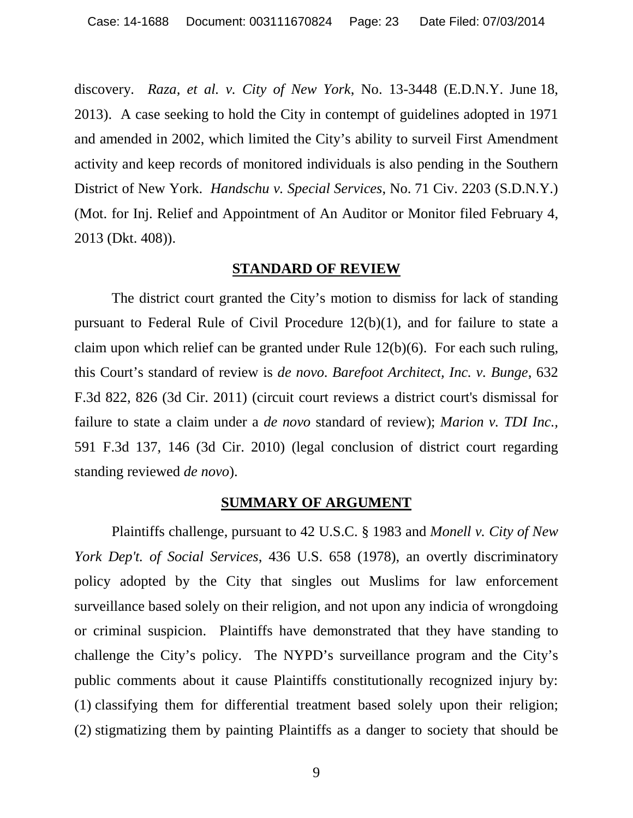discovery. *Raza, et al. v. City of New York*, No. 13-3448 (E.D.N.Y. June 18, 2013). A case seeking to hold the City in contempt of guidelines adopted in 1971 and amended in 2002, which limited the City's ability to surveil First Amendment activity and keep records of monitored individuals is also pending in the Southern District of New York. *Handschu v. Special Services*, No. 71 Civ. 2203 (S.D.N.Y.) (Mot. for Inj. Relief and Appointment of An Auditor or Monitor filed February 4, 2013 (Dkt. 408)).

#### **STANDARD OF REVIEW**

The district court granted the City's motion to dismiss for lack of standing pursuant to Federal Rule of Civil Procedure 12(b)(1), and for failure to state a claim upon which relief can be granted under Rule 12(b)(6). For each such ruling, this Court's standard of review is *de novo*. *Barefoot Architect, Inc. v. Bunge*, 632 F.3d 822, 826 (3d Cir. 2011) (circuit court reviews a district court's dismissal for failure to state a claim under a *de novo* standard of review); *Marion v. TDI Inc.,* 591 F.3d 137, 146 (3d Cir. 2010) (legal conclusion of district court regarding standing reviewed *de novo*).

#### **SUMMARY OF ARGUMENT**

Plaintiffs challenge, pursuant to 42 U.S.C. § 1983 and *Monell v. City of New York Dep't. of Social Services*, 436 U.S. 658 (1978), an overtly discriminatory policy adopted by the City that singles out Muslims for law enforcement surveillance based solely on their religion, and not upon any indicia of wrongdoing or criminal suspicion. Plaintiffs have demonstrated that they have standing to challenge the City's policy. The NYPD's surveillance program and the City's public comments about it cause Plaintiffs constitutionally recognized injury by: (1) classifying them for differential treatment based solely upon their religion; (2) stigmatizing them by painting Plaintiffs as a danger to society that should be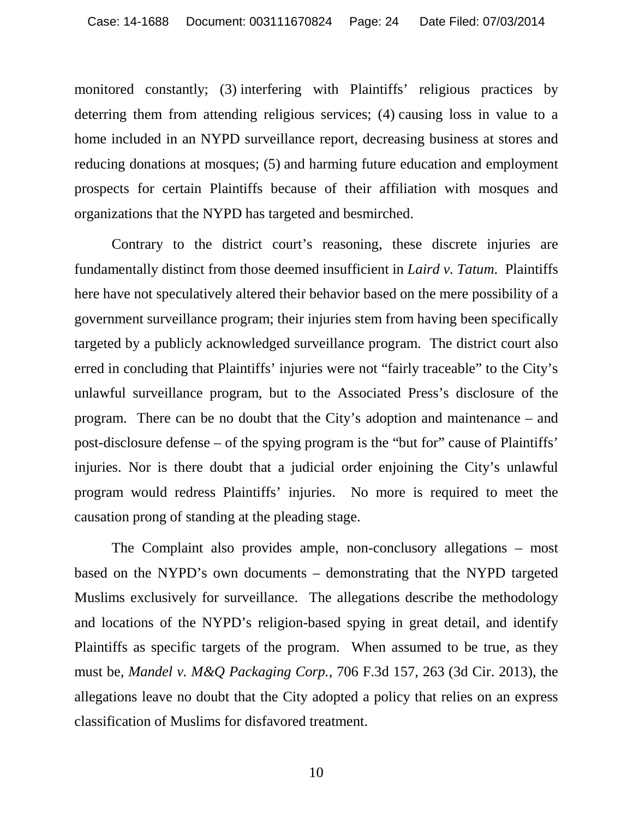monitored constantly; (3) interfering with Plaintiffs' religious practices by deterring them from attending religious services; (4) causing loss in value to a home included in an NYPD surveillance report, decreasing business at stores and reducing donations at mosques; (5) and harming future education and employment prospects for certain Plaintiffs because of their affiliation with mosques and organizations that the NYPD has targeted and besmirched.

Contrary to the district court's reasoning, these discrete injuries are fundamentally distinct from those deemed insufficient in *Laird v. Tatum*. Plaintiffs here have not speculatively altered their behavior based on the mere possibility of a government surveillance program; their injuries stem from having been specifically targeted by a publicly acknowledged surveillance program. The district court also erred in concluding that Plaintiffs' injuries were not "fairly traceable" to the City's unlawful surveillance program, but to the Associated Press's disclosure of the program. There can be no doubt that the City's adoption and maintenance – and post-disclosure defense – of the spying program is the "but for" cause of Plaintiffs' injuries. Nor is there doubt that a judicial order enjoining the City's unlawful program would redress Plaintiffs' injuries. No more is required to meet the causation prong of standing at the pleading stage.

The Complaint also provides ample, non-conclusory allegations – most based on the NYPD's own documents – demonstrating that the NYPD targeted Muslims exclusively for surveillance. The allegations describe the methodology and locations of the NYPD's religion-based spying in great detail, and identify Plaintiffs as specific targets of the program. When assumed to be true, as they must be, *Mandel v. M&Q Packaging Corp.*, 706 F.3d 157, 263 (3d Cir. 2013), the allegations leave no doubt that the City adopted a policy that relies on an express classification of Muslims for disfavored treatment.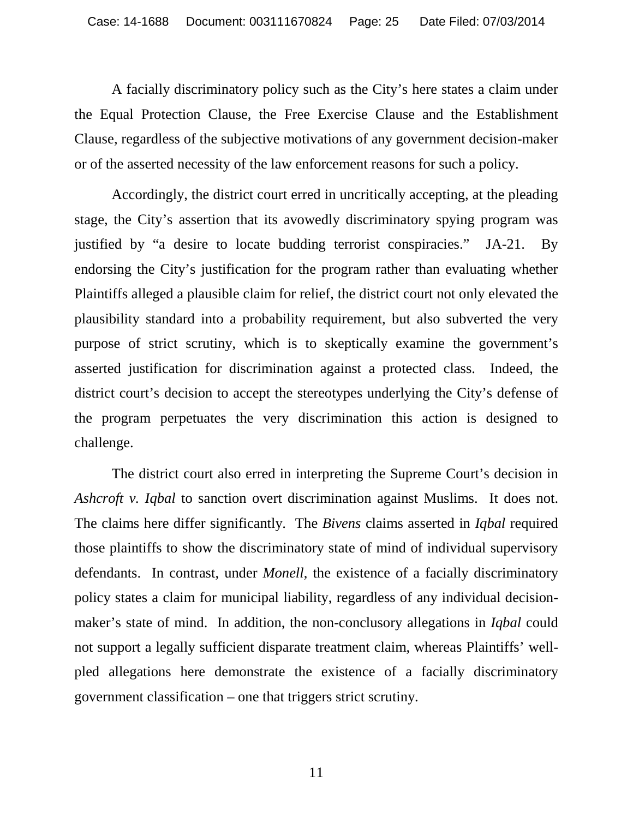A facially discriminatory policy such as the City's here states a claim under the Equal Protection Clause, the Free Exercise Clause and the Establishment Clause, regardless of the subjective motivations of any government decision-maker or of the asserted necessity of the law enforcement reasons for such a policy.

Accordingly, the district court erred in uncritically accepting, at the pleading stage, the City's assertion that its avowedly discriminatory spying program was justified by "a desire to locate budding terrorist conspiracies." JA-21. By endorsing the City's justification for the program rather than evaluating whether Plaintiffs alleged a plausible claim for relief, the district court not only elevated the plausibility standard into a probability requirement, but also subverted the very purpose of strict scrutiny, which is to skeptically examine the government's asserted justification for discrimination against a protected class. Indeed, the district court's decision to accept the stereotypes underlying the City's defense of the program perpetuates the very discrimination this action is designed to challenge.

The district court also erred in interpreting the Supreme Court's decision in *Ashcroft v. Iqbal* to sanction overt discrimination against Muslims. It does not. The claims here differ significantly. The *Bivens* claims asserted in *Iqbal* required those plaintiffs to show the discriminatory state of mind of individual supervisory defendants. In contrast, under *Monell*, the existence of a facially discriminatory policy states a claim for municipal liability, regardless of any individual decisionmaker's state of mind. In addition, the non-conclusory allegations in *Iqbal* could not support a legally sufficient disparate treatment claim, whereas Plaintiffs' wellpled allegations here demonstrate the existence of a facially discriminatory government classification – one that triggers strict scrutiny.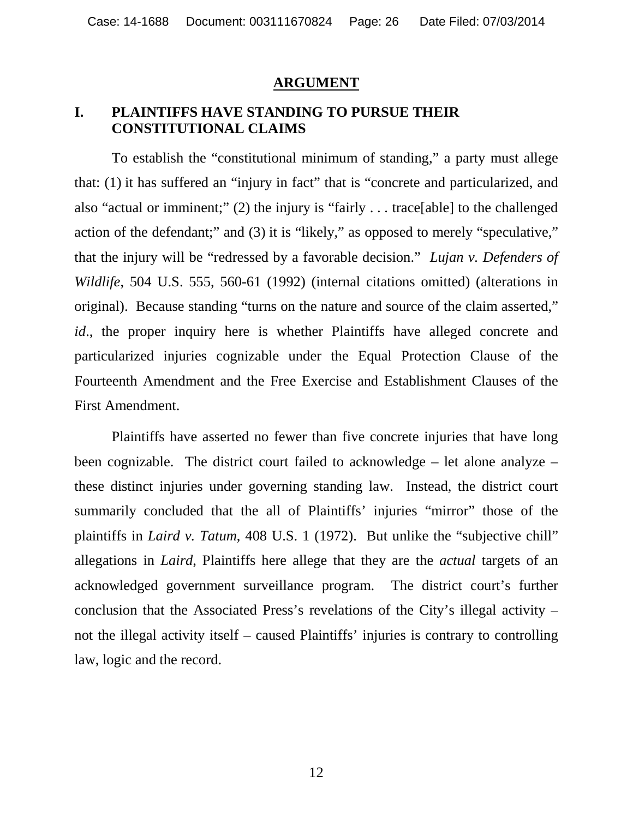#### **ARGUMENT**

#### **I. PLAINTIFFS HAVE STANDING TO PURSUE THEIR CONSTITUTIONAL CLAIMS**

To establish the "constitutional minimum of standing," a party must allege that: (1) it has suffered an "injury in fact" that is "concrete and particularized, and also "actual or imminent;" (2) the injury is "fairly . . . trace[able] to the challenged action of the defendant;" and (3) it is "likely," as opposed to merely "speculative," that the injury will be "redressed by a favorable decision." *Lujan v. Defenders of Wildlife*, 504 U.S. 555, 560-61 (1992) (internal citations omitted) (alterations in original). Because standing "turns on the nature and source of the claim asserted," *id.*, the proper inquiry here is whether Plaintiffs have alleged concrete and particularized injuries cognizable under the Equal Protection Clause of the Fourteenth Amendment and the Free Exercise and Establishment Clauses of the First Amendment.

Plaintiffs have asserted no fewer than five concrete injuries that have long been cognizable. The district court failed to acknowledge – let alone analyze – these distinct injuries under governing standing law. Instead, the district court summarily concluded that the all of Plaintiffs' injuries "mirror" those of the plaintiffs in *Laird v. Tatum*, 408 U.S. 1 (1972). But unlike the "subjective chill" allegations in *Laird*, Plaintiffs here allege that they are the *actual* targets of an acknowledged government surveillance program. The district court's further conclusion that the Associated Press's revelations of the City's illegal activity – not the illegal activity itself – caused Plaintiffs' injuries is contrary to controlling law, logic and the record.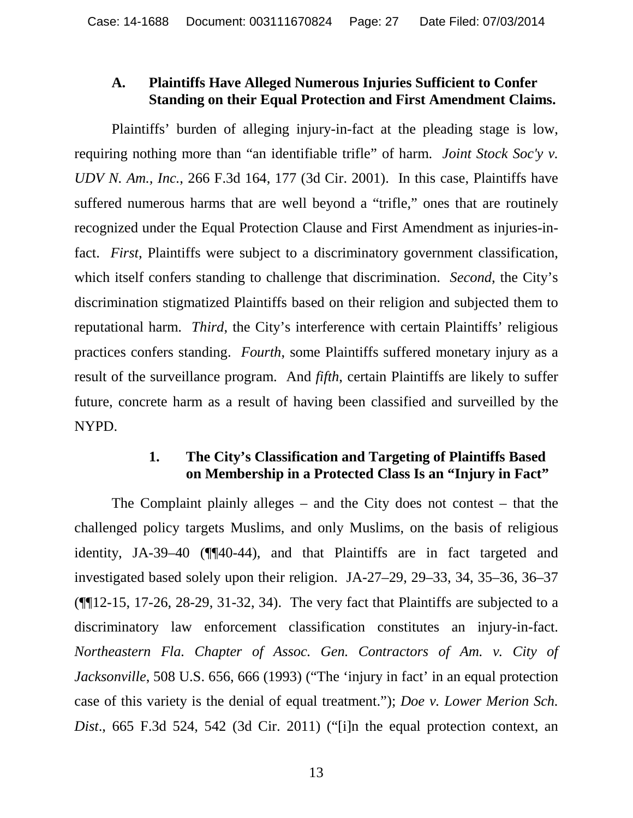# **A. Plaintiffs Have Alleged Numerous Injuries Sufficient to Confer Standing on their Equal Protection and First Amendment Claims.**

Plaintiffs' burden of alleging injury-in-fact at the pleading stage is low, requiring nothing more than "an identifiable trifle" of harm. *Joint Stock Soc'y v. UDV N. Am., Inc.*, 266 F.3d 164, 177 (3d Cir. 2001). In this case, Plaintiffs have suffered numerous harms that are well beyond a "trifle," ones that are routinely recognized under the Equal Protection Clause and First Amendment as injuries-infact. *First*, Plaintiffs were subject to a discriminatory government classification, which itself confers standing to challenge that discrimination. *Second*, the City's discrimination stigmatized Plaintiffs based on their religion and subjected them to reputational harm. *Third*, the City's interference with certain Plaintiffs' religious practices confers standing. *Fourth*, some Plaintiffs suffered monetary injury as a result of the surveillance program. And *fifth*, certain Plaintiffs are likely to suffer future, concrete harm as a result of having been classified and surveilled by the NYPD.

# **1. The City's Classification and Targeting of Plaintiffs Based on Membership in a Protected Class Is an "Injury in Fact"**

The Complaint plainly alleges – and the City does not contest – that the challenged policy targets Muslims, and only Muslims, on the basis of religious identity, JA-39–40 (¶¶40-44), and that Plaintiffs are in fact targeted and investigated based solely upon their religion. JA-27–29, 29–33, 34, 35–36, 36–37 (¶¶12-15, 17-26, 28-29, 31-32, 34). The very fact that Plaintiffs are subjected to a discriminatory law enforcement classification constitutes an injury-in-fact. *Northeastern Fla. Chapter of Assoc. Gen. Contractors of Am. v. City of Jacksonville*, 508 U.S. 656, 666 (1993) ("The 'injury in fact' in an equal protection case of this variety is the denial of equal treatment."); *Doe v. Lower Merion Sch. Dist*., 665 F.3d 524, 542 (3d Cir. 2011) ("[i]n the equal protection context, an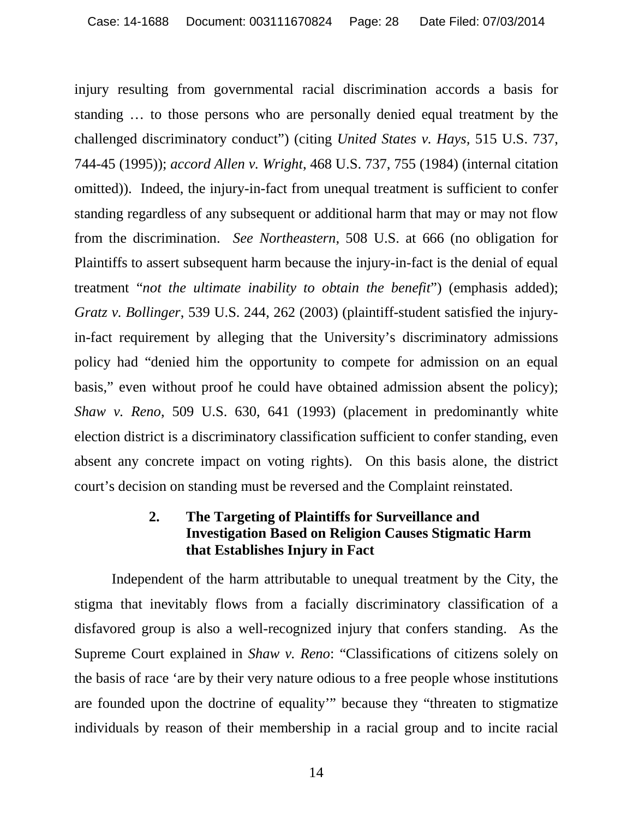injury resulting from governmental racial discrimination accords a basis for standing … to those persons who are personally denied equal treatment by the challenged discriminatory conduct") (citing *United States v. Hays,* 515 U.S. 737, 744-45 (1995)); *accord Allen v. Wright*, 468 U.S. 737, 755 (1984) (internal citation omitted)). Indeed, the injury-in-fact from unequal treatment is sufficient to confer standing regardless of any subsequent or additional harm that may or may not flow from the discrimination. *See Northeastern*, 508 U.S. at 666 (no obligation for Plaintiffs to assert subsequent harm because the injury-in-fact is the denial of equal treatment "*not the ultimate inability to obtain the benefit*") (emphasis added); *Gratz v. Bollinger*, 539 U.S. 244, 262 (2003) (plaintiff-student satisfied the injuryin-fact requirement by alleging that the University's discriminatory admissions policy had "denied him the opportunity to compete for admission on an equal basis," even without proof he could have obtained admission absent the policy); *Shaw v. Reno*, 509 U.S. 630, 641 (1993) (placement in predominantly white election district is a discriminatory classification sufficient to confer standing, even absent any concrete impact on voting rights). On this basis alone, the district court's decision on standing must be reversed and the Complaint reinstated.

# **2. The Targeting of Plaintiffs for Surveillance and Investigation Based on Religion Causes Stigmatic Harm that Establishes Injury in Fact**

Independent of the harm attributable to unequal treatment by the City, the stigma that inevitably flows from a facially discriminatory classification of a disfavored group is also a well-recognized injury that confers standing. As the Supreme Court explained in *Shaw v. Reno*: "Classifications of citizens solely on the basis of race 'are by their very nature odious to a free people whose institutions are founded upon the doctrine of equality'" because they "threaten to stigmatize individuals by reason of their membership in a racial group and to incite racial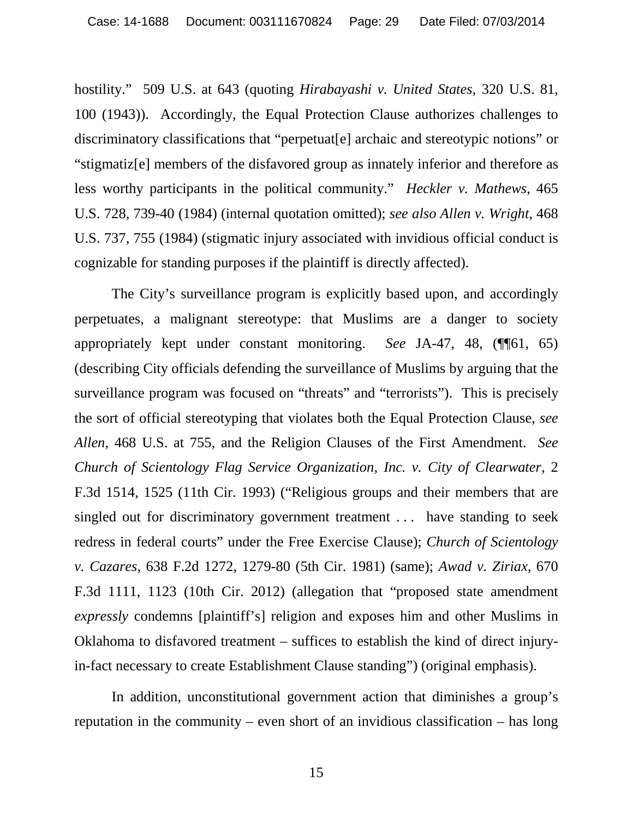hostility." 509 U.S. at 643 (quoting *Hirabayashi v. United States*, 320 U.S. 81, 100 (1943)). Accordingly, the Equal Protection Clause authorizes challenges to discriminatory classifications that "perpetuat[e] archaic and stereotypic notions" or "stigmatiz[e] members of the disfavored group as innately inferior and therefore as less worthy participants in the political community." *Heckler v. Mathews*, 465 U.S. 728, 739-40 (1984) (internal quotation omitted); *see also Allen v. Wright*, 468 U.S. 737, 755 (1984) (stigmatic injury associated with invidious official conduct is cognizable for standing purposes if the plaintiff is directly affected).

The City's surveillance program is explicitly based upon, and accordingly perpetuates, a malignant stereotype: that Muslims are a danger to society appropriately kept under constant monitoring. *See* JA-47, 48, (¶¶61, 65) (describing City officials defending the surveillance of Muslims by arguing that the surveillance program was focused on "threats" and "terrorists"). This is precisely the sort of official stereotyping that violates both the Equal Protection Clause, *see Allen*, 468 U.S. at 755, and the Religion Clauses of the First Amendment. *See Church of Scientology Flag Service Organization, Inc. v. City of Clearwater*, 2 F.3d 1514, 1525 (11th Cir. 1993) ("Religious groups and their members that are singled out for discriminatory government treatment . . . have standing to seek redress in federal courts" under the Free Exercise Clause); *Church of Scientology v. Cazares*, 638 F.2d 1272, 1279-80 (5th Cir. 1981) (same); *Awad v. Ziriax*, 670 F.3d 1111, 1123 (10th Cir. 2012) (allegation that "proposed state amendment *expressly* condemns [plaintiff's] religion and exposes him and other Muslims in Oklahoma to disfavored treatment – suffices to establish the kind of direct injuryin-fact necessary to create Establishment Clause standing") (original emphasis).

In addition, unconstitutional government action that diminishes a group's reputation in the community – even short of an invidious classification – has long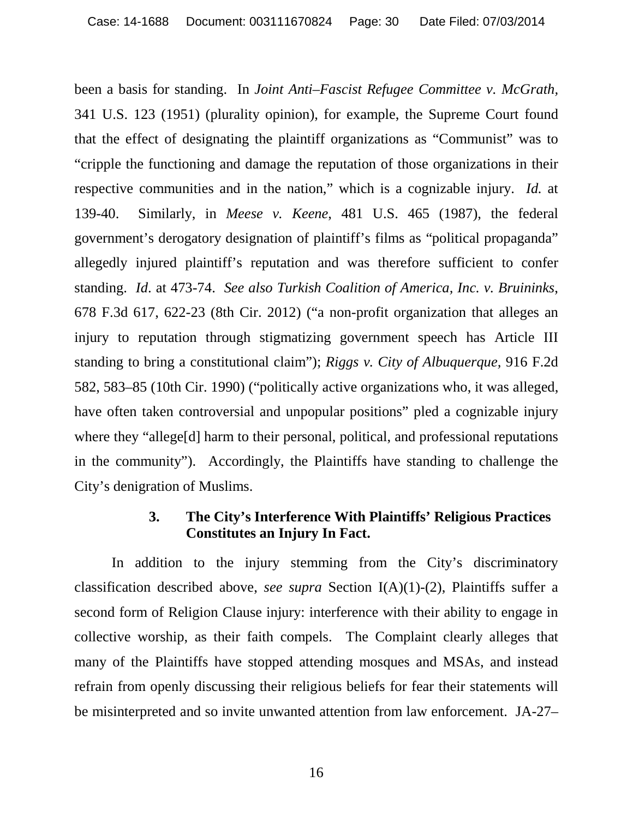been a basis for standing. In *Joint Anti–Fascist Refugee Committee v. McGrath,* 341 U.S. 123 (1951) (plurality opinion), for example, the Supreme Court found that the effect of designating the plaintiff organizations as "Communist" was to "cripple the functioning and damage the reputation of those organizations in their respective communities and in the nation," which is a cognizable injury. *Id.* at 139-40. Similarly, in *Meese v. Keene*, 481 U.S. 465 (1987), the federal government's derogatory designation of plaintiff's films as "political propaganda" allegedly injured plaintiff's reputation and was therefore sufficient to confer standing. *Id*. at 473-74. *See also Turkish Coalition of America, Inc. v. Bruininks*, 678 F.3d 617, 622-23 (8th Cir. 2012) ("a non-profit organization that alleges an injury to reputation through stigmatizing government speech has Article III standing to bring a constitutional claim"); *Riggs v. City of Albuquerque,* 916 F.2d 582, 583–85 (10th Cir. 1990) ("politically active organizations who, it was alleged, have often taken controversial and unpopular positions" pled a cognizable injury where they "allege<sup>[d]</sup> harm to their personal, political, and professional reputations in the community"). Accordingly, the Plaintiffs have standing to challenge the City's denigration of Muslims.

## **3. The City's Interference With Plaintiffs' Religious Practices Constitutes an Injury In Fact.**

In addition to the injury stemming from the City's discriminatory classification described above, *see supra* Section I(A)(1)-(2), Plaintiffs suffer a second form of Religion Clause injury: interference with their ability to engage in collective worship, as their faith compels. The Complaint clearly alleges that many of the Plaintiffs have stopped attending mosques and MSAs, and instead refrain from openly discussing their religious beliefs for fear their statements will be misinterpreted and so invite unwanted attention from law enforcement. JA-27–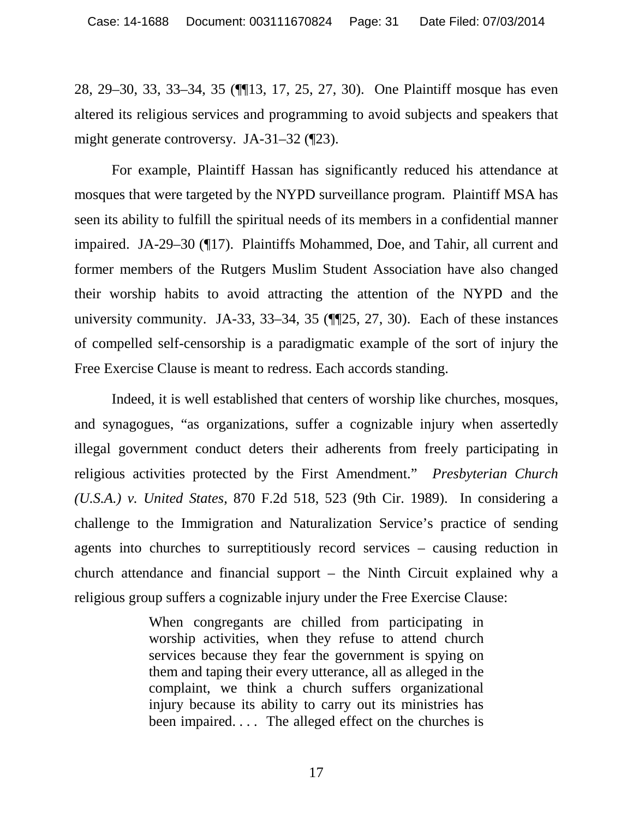28, 29–30, 33, 33–34, 35 (¶¶13, 17, 25, 27, 30). One Plaintiff mosque has even altered its religious services and programming to avoid subjects and speakers that might generate controversy. JA-31–32 (¶23).

For example, Plaintiff Hassan has significantly reduced his attendance at mosques that were targeted by the NYPD surveillance program. Plaintiff MSA has seen its ability to fulfill the spiritual needs of its members in a confidential manner impaired. JA-29–30 (¶17). Plaintiffs Mohammed, Doe, and Tahir, all current and former members of the Rutgers Muslim Student Association have also changed their worship habits to avoid attracting the attention of the NYPD and the university community. JA-33, 33–34, 35 (¶¶25, 27, 30). Each of these instances of compelled self-censorship is a paradigmatic example of the sort of injury the Free Exercise Clause is meant to redress. Each accords standing.

Indeed, it is well established that centers of worship like churches, mosques, and synagogues, "as organizations, suffer a cognizable injury when assertedly illegal government conduct deters their adherents from freely participating in religious activities protected by the First Amendment." *Presbyterian Church (U.S.A.) v. United States*, 870 F.2d 518, 523 (9th Cir. 1989). In considering a challenge to the Immigration and Naturalization Service's practice of sending agents into churches to surreptitiously record services – causing reduction in church attendance and financial support – the Ninth Circuit explained why a religious group suffers a cognizable injury under the Free Exercise Clause:

> When congregants are chilled from participating in worship activities, when they refuse to attend church services because they fear the government is spying on them and taping their every utterance, all as alleged in the complaint, we think a church suffers organizational injury because its ability to carry out its ministries has been impaired. . . . The alleged effect on the churches is

17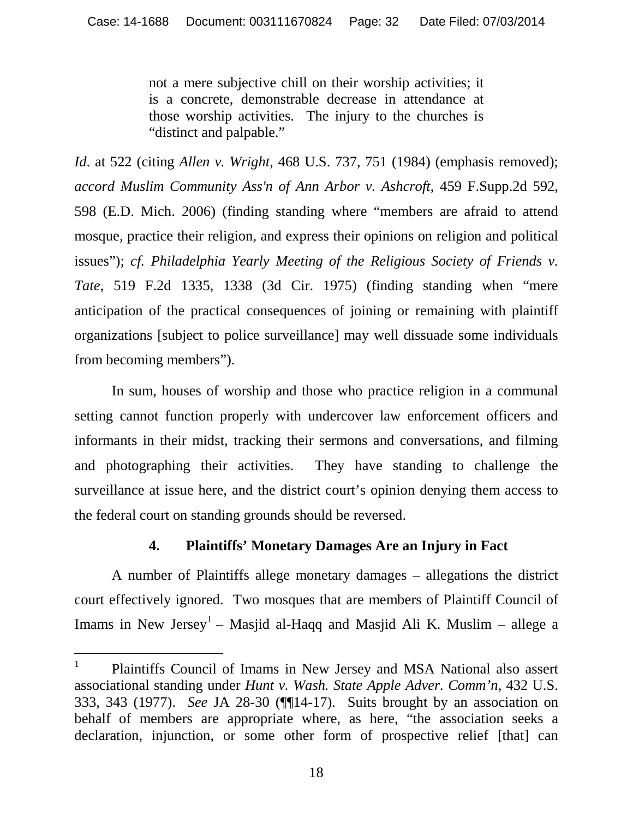not a mere subjective chill on their worship activities; it is a concrete, demonstrable decrease in attendance at those worship activities. The injury to the churches is "distinct and palpable."

*Id*. at 522 (citing *Allen v. Wright,* 468 U.S. 737, 751 (1984) (emphasis removed); *accord Muslim Community Ass'n of Ann Arbor v. Ashcroft*, 459 F.Supp.2d 592, 598 (E.D. Mich. 2006) (finding standing where "members are afraid to attend mosque, practice their religion, and express their opinions on religion and political issues"); *cf. Philadelphia Yearly Meeting of the Religious Society of Friends v. Tate,* 519 F.2d 1335, 1338 (3d Cir. 1975) (finding standing when "mere anticipation of the practical consequences of joining or remaining with plaintiff organizations [subject to police surveillance] may well dissuade some individuals from becoming members").

In sum, houses of worship and those who practice religion in a communal setting cannot function properly with undercover law enforcement officers and informants in their midst, tracking their sermons and conversations, and filming and photographing their activities. They have standing to challenge the surveillance at issue here, and the district court's opinion denying them access to the federal court on standing grounds should be reversed.

#### **4. Plaintiffs' Monetary Damages Are an Injury in Fact**

A number of Plaintiffs allege monetary damages – allegations the district court effectively ignored. Two mosques that are members of Plaintiff Council of Imams in New Jersey<sup>1</sup> – Masjid al-Haqq and Masjid Ali K. Muslim – allege a

<sup>1</sup> Plaintiffs Council of Imams in New Jersey and MSA National also assert associational standing under *Hunt v. Wash. State Apple Adver. Comm'n*, 432 U.S. 333, 343 (1977). *See* JA 28-30 (¶¶14-17). Suits brought by an association on behalf of members are appropriate where, as here, "the association seeks a declaration, injunction, or some other form of prospective relief [that] can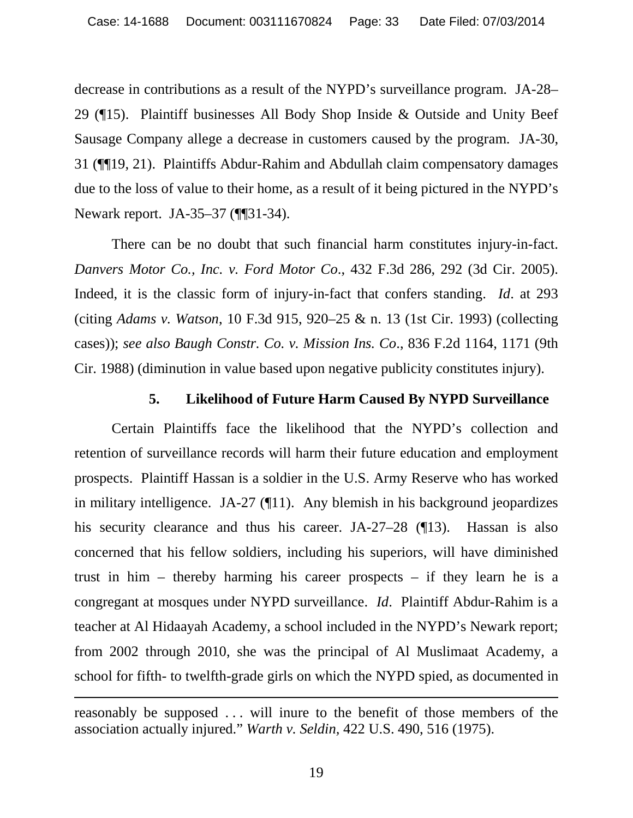decrease in contributions as a result of the NYPD's surveillance program. JA-28– 29 (¶15). Plaintiff businesses All Body Shop Inside & Outside and Unity Beef Sausage Company allege a decrease in customers caused by the program. JA-30, 31 (¶¶19, 21). Plaintiffs Abdur-Rahim and Abdullah claim compensatory damages due to the loss of value to their home, as a result of it being pictured in the NYPD's Newark report. JA-35–37 (¶¶31-34).

There can be no doubt that such financial harm constitutes injury-in-fact. *Danvers Motor Co., Inc. v. Ford Motor Co*., 432 F.3d 286, 292 (3d Cir. 2005). Indeed, it is the classic form of injury-in-fact that confers standing. *Id*. at 293 (citing *Adams v. Watson*, 10 F.3d 915, 920–25 & n. 13 (1st Cir. 1993) (collecting cases)); *see also Baugh Constr. Co. v. Mission Ins. Co*., 836 F.2d 1164, 1171 (9th Cir. 1988) (diminution in value based upon negative publicity constitutes injury).

#### **5. Likelihood of Future Harm Caused By NYPD Surveillance**

Certain Plaintiffs face the likelihood that the NYPD's collection and retention of surveillance records will harm their future education and employment prospects. Plaintiff Hassan is a soldier in the U.S. Army Reserve who has worked in military intelligence. JA-27 (¶11). Any blemish in his background jeopardizes his security clearance and thus his career. JA-27–28 (¶13). Hassan is also concerned that his fellow soldiers, including his superiors, will have diminished trust in him – thereby harming his career prospects – if they learn he is a congregant at mosques under NYPD surveillance. *Id*. Plaintiff Abdur-Rahim is a teacher at Al Hidaayah Academy, a school included in the NYPD's Newark report; from 2002 through 2010, she was the principal of Al Muslimaat Academy, a school for fifth- to twelfth-grade girls on which the NYPD spied, as documented in

reasonably be supposed . . . will inure to the benefit of those members of the association actually injured." *Warth v. Seldin,* 422 U.S. 490, 516 (1975).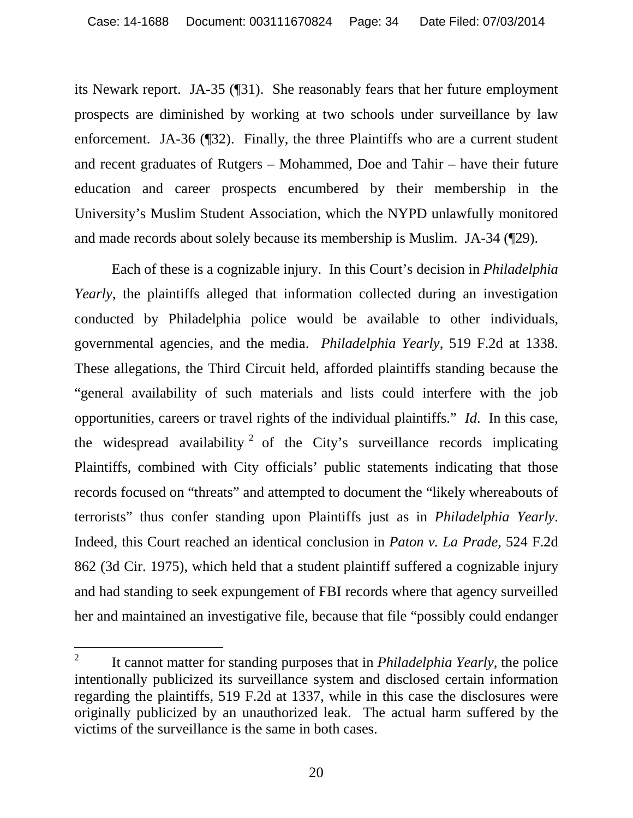its Newark report. JA-35 (¶31). She reasonably fears that her future employment prospects are diminished by working at two schools under surveillance by law enforcement. JA-36 (¶32). Finally, the three Plaintiffs who are a current student and recent graduates of Rutgers – Mohammed, Doe and Tahir – have their future education and career prospects encumbered by their membership in the University's Muslim Student Association, which the NYPD unlawfully monitored and made records about solely because its membership is Muslim. JA-34 (¶29).

Each of these is a cognizable injury. In this Court's decision in *Philadelphia Yearly*, the plaintiffs alleged that information collected during an investigation conducted by Philadelphia police would be available to other individuals, governmental agencies, and the media. *Philadelphia Yearly*, 519 F.2d at 1338. These allegations, the Third Circuit held, afforded plaintiffs standing because the "general availability of such materials and lists could interfere with the job opportunities, careers or travel rights of the individual plaintiffs." *Id*. In this case, the widespread availability  $2$  of the City's surveillance records implicating Plaintiffs, combined with City officials' public statements indicating that those records focused on "threats" and attempted to document the "likely whereabouts of terrorists" thus confer standing upon Plaintiffs just as in *Philadelphia Yearly*. Indeed, this Court reached an identical conclusion in *Paton v. La Prade*, 524 F.2d 862 (3d Cir. 1975), which held that a student plaintiff suffered a cognizable injury and had standing to seek expungement of FBI records where that agency surveilled her and maintained an investigative file, because that file "possibly could endanger

<sup>2</sup> It cannot matter for standing purposes that in *Philadelphia Yearly*, the police intentionally publicized its surveillance system and disclosed certain information regarding the plaintiffs, 519 F.2d at 1337, while in this case the disclosures were originally publicized by an unauthorized leak. The actual harm suffered by the victims of the surveillance is the same in both cases.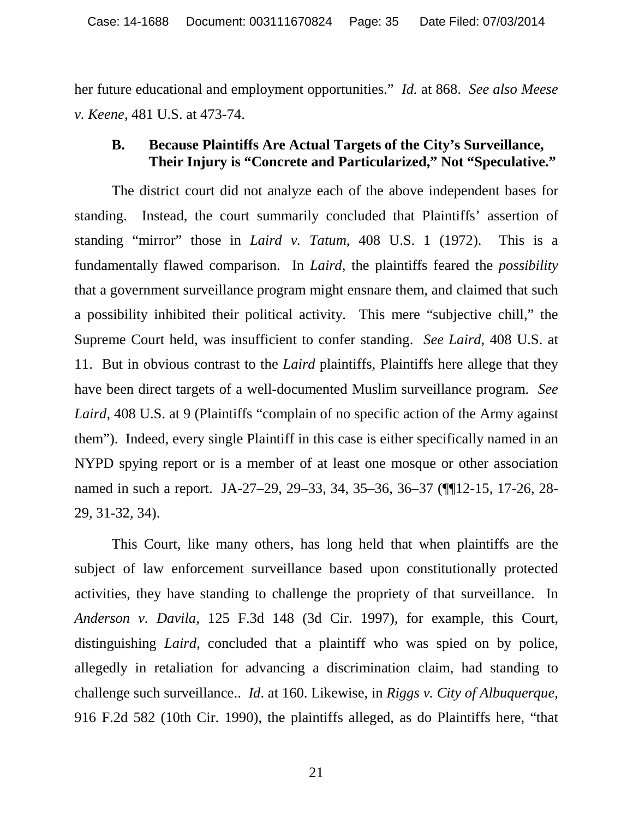her future educational and employment opportunities." *Id.* at 868. *See also Meese v. Keene*, 481 U.S. at 473-74.

#### **B. Because Plaintiffs Are Actual Targets of the City's Surveillance, Their Injury is "Concrete and Particularized," Not "Speculative."**

The district court did not analyze each of the above independent bases for standing. Instead, the court summarily concluded that Plaintiffs' assertion of standing "mirror" those in *Laird v. Tatum*, 408 U.S. 1 (1972). This is a fundamentally flawed comparison. In *Laird*, the plaintiffs feared the *possibility* that a government surveillance program might ensnare them, and claimed that such a possibility inhibited their political activity. This mere "subjective chill," the Supreme Court held, was insufficient to confer standing. *See Laird*, 408 U.S. at 11. But in obvious contrast to the *Laird* plaintiffs, Plaintiffs here allege that they have been direct targets of a well-documented Muslim surveillance program. *See* Laird, 408 U.S. at 9 (Plaintiffs "complain of no specific action of the Army against them"). Indeed, every single Plaintiff in this case is either specifically named in an NYPD spying report or is a member of at least one mosque or other association named in such a report. JA-27–29, 29–33, 34, 35–36, 36–37 (¶¶12-15, 17-26, 28- 29, 31-32, 34).

This Court, like many others, has long held that when plaintiffs are the subject of law enforcement surveillance based upon constitutionally protected activities, they have standing to challenge the propriety of that surveillance. In *Anderson v. Davila*, 125 F.3d 148 (3d Cir. 1997), for example, this Court, distinguishing *Laird*, concluded that a plaintiff who was spied on by police, allegedly in retaliation for advancing a discrimination claim, had standing to challenge such surveillance.. *Id*. at 160. Likewise, in *Riggs v. City of Albuquerque*, 916 F.2d 582 (10th Cir. 1990), the plaintiffs alleged, as do Plaintiffs here, "that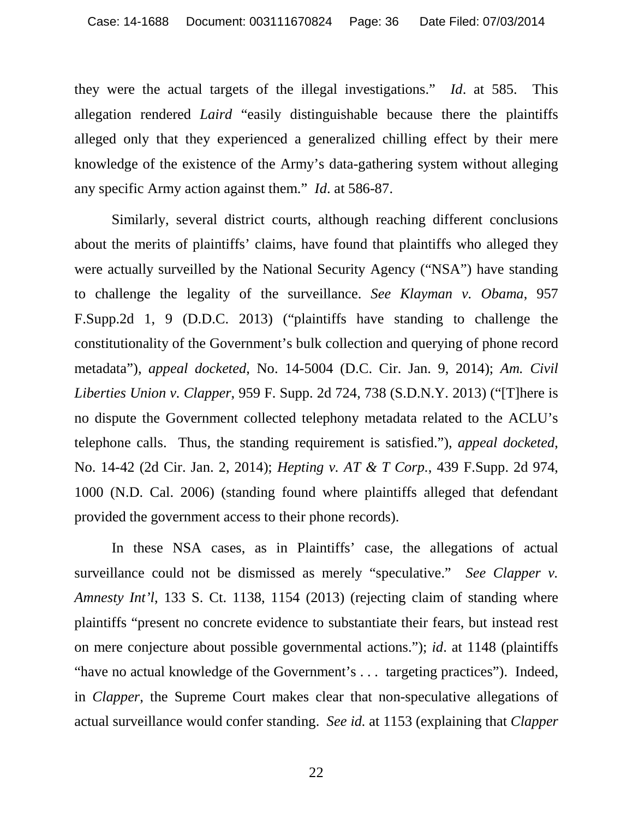they were the actual targets of the illegal investigations." *Id*. at 585. This allegation rendered *Laird* "easily distinguishable because there the plaintiffs alleged only that they experienced a generalized chilling effect by their mere knowledge of the existence of the Army's data-gathering system without alleging any specific Army action against them." *Id*. at 586-87.

Similarly, several district courts, although reaching different conclusions about the merits of plaintiffs' claims, have found that plaintiffs who alleged they were actually surveilled by the National Security Agency ("NSA") have standing to challenge the legality of the surveillance. *See Klayman v. Obama*, 957 F.Supp.2d 1, 9 (D.D.C. 2013) ("plaintiffs have standing to challenge the constitutionality of the Government's bulk collection and querying of phone record metadata"), *appeal docketed*, No. 14-5004 (D.C. Cir. Jan. 9, 2014); *Am. Civil Liberties Union v. Clapper*, 959 F. Supp. 2d 724, 738 (S.D.N.Y. 2013) ("[T]here is no dispute the Government collected telephony metadata related to the ACLU's telephone calls. Thus, the standing requirement is satisfied."), *appeal docketed*, No. 14-42 (2d Cir. Jan. 2, 2014); *Hepting v. AT & T Corp.*, 439 F.Supp. 2d 974, 1000 (N.D. Cal. 2006) (standing found where plaintiffs alleged that defendant provided the government access to their phone records).

In these NSA cases, as in Plaintiffs' case, the allegations of actual surveillance could not be dismissed as merely "speculative." *See Clapper v. Amnesty Int'l*, 133 S. Ct. 1138, 1154 (2013) (rejecting claim of standing where plaintiffs "present no concrete evidence to substantiate their fears, but instead rest on mere conjecture about possible governmental actions."); *id*. at 1148 (plaintiffs "have no actual knowledge of the Government's . . . targeting practices"). Indeed, in *Clapper*, the Supreme Court makes clear that non-speculative allegations of actual surveillance would confer standing. *See id.* at 1153 (explaining that *Clapper*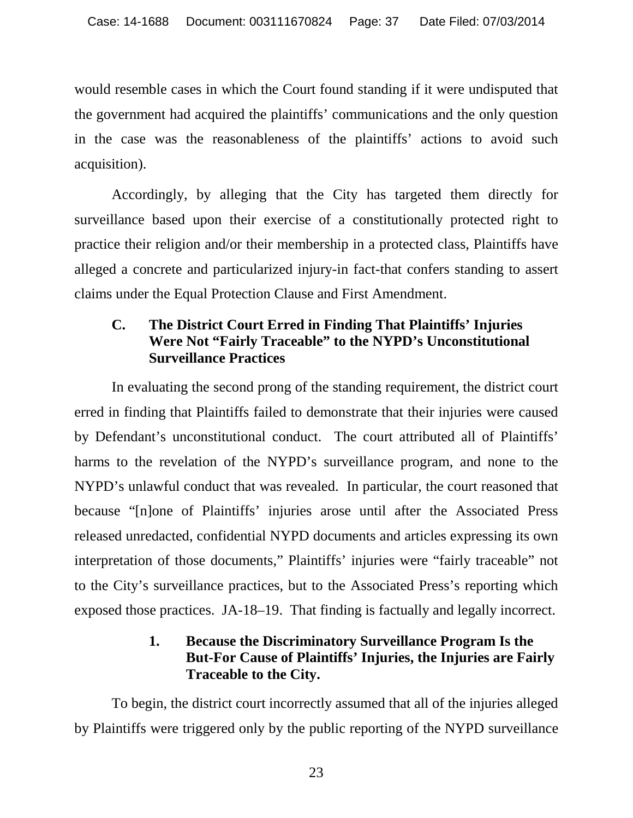would resemble cases in which the Court found standing if it were undisputed that the government had acquired the plaintiffs' communications and the only question in the case was the reasonableness of the plaintiffs' actions to avoid such acquisition).

Accordingly, by alleging that the City has targeted them directly for surveillance based upon their exercise of a constitutionally protected right to practice their religion and/or their membership in a protected class, Plaintiffs have alleged a concrete and particularized injury-in fact-that confers standing to assert claims under the Equal Protection Clause and First Amendment.

# **C. The District Court Erred in Finding That Plaintiffs' Injuries Were Not "Fairly Traceable" to the NYPD's Unconstitutional Surveillance Practices**

In evaluating the second prong of the standing requirement, the district court erred in finding that Plaintiffs failed to demonstrate that their injuries were caused by Defendant's unconstitutional conduct. The court attributed all of Plaintiffs' harms to the revelation of the NYPD's surveillance program, and none to the NYPD's unlawful conduct that was revealed. In particular, the court reasoned that because "[n]one of Plaintiffs' injuries arose until after the Associated Press released unredacted, confidential NYPD documents and articles expressing its own interpretation of those documents," Plaintiffs' injuries were "fairly traceable" not to the City's surveillance practices, but to the Associated Press's reporting which exposed those practices. JA-18–19. That finding is factually and legally incorrect.

# **1. Because the Discriminatory Surveillance Program Is the But-For Cause of Plaintiffs' Injuries, the Injuries are Fairly Traceable to the City.**

To begin, the district court incorrectly assumed that all of the injuries alleged by Plaintiffs were triggered only by the public reporting of the NYPD surveillance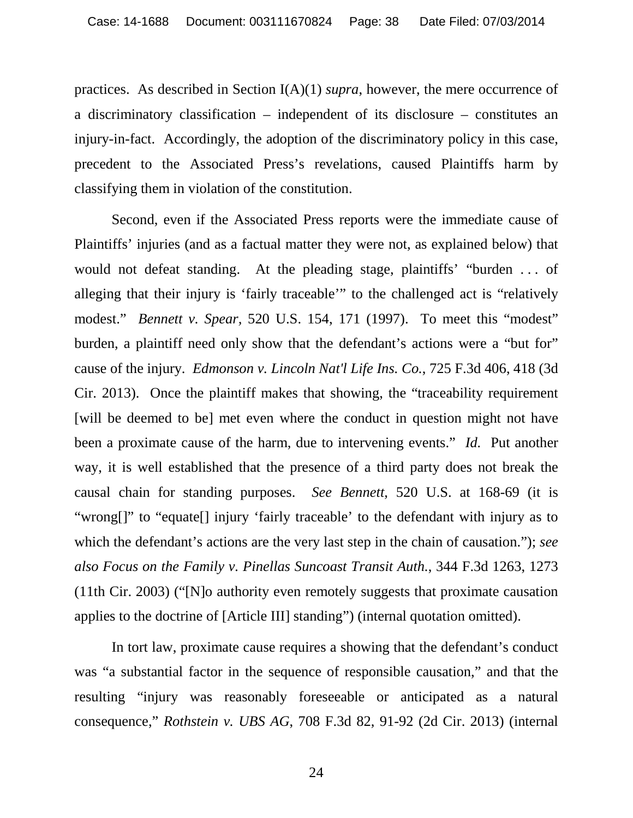practices. As described in Section I(A)(1) *supra*, however, the mere occurrence of a discriminatory classification – independent of its disclosure – constitutes an injury-in-fact. Accordingly, the adoption of the discriminatory policy in this case, precedent to the Associated Press's revelations, caused Plaintiffs harm by classifying them in violation of the constitution.

Second, even if the Associated Press reports were the immediate cause of Plaintiffs' injuries (and as a factual matter they were not, as explained below) that would not defeat standing. At the pleading stage, plaintiffs' "burden . . . of alleging that their injury is 'fairly traceable'" to the challenged act is "relatively modest." *Bennett v. Spear,* 520 U.S. 154, 171 (1997). To meet this "modest" burden, a plaintiff need only show that the defendant's actions were a "but for" cause of the injury. *Edmonson v. Lincoln Nat'l Life Ins. Co.*, 725 F.3d 406, 418 (3d Cir. 2013). Once the plaintiff makes that showing, the "traceability requirement [will be deemed to be] met even where the conduct in question might not have been a proximate cause of the harm, due to intervening events." *Id.* Put another way, it is well established that the presence of a third party does not break the causal chain for standing purposes. *See Bennett*, 520 U.S. at 168-69 (it is "wrong[]" to "equate[] injury 'fairly traceable' to the defendant with injury as to which the defendant's actions are the very last step in the chain of causation."); *see also Focus on the Family v. Pinellas Suncoast Transit Auth.*, 344 F.3d 1263, 1273 (11th Cir. 2003) ("[N]o authority even remotely suggests that proximate causation applies to the doctrine of [Article III] standing") (internal quotation omitted).

In tort law, proximate cause requires a showing that the defendant's conduct was "a substantial factor in the sequence of responsible causation," and that the resulting "injury was reasonably foreseeable or anticipated as a natural consequence," *Rothstein v. UBS AG*, 708 F.3d 82, 91-92 (2d Cir. 2013) (internal

24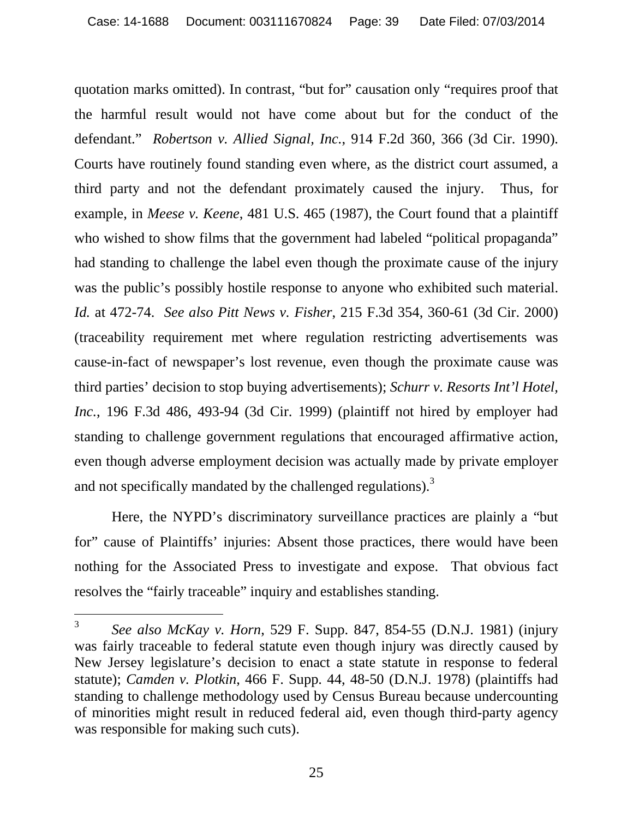quotation marks omitted). In contrast, "but for" causation only "requires proof that the harmful result would not have come about but for the conduct of the defendant." *Robertson v. Allied Signal, Inc.*, 914 F.2d 360, 366 (3d Cir. 1990). Courts have routinely found standing even where, as the district court assumed, a third party and not the defendant proximately caused the injury. Thus, for example, in *Meese v. Keene*, 481 U.S. 465 (1987), the Court found that a plaintiff who wished to show films that the government had labeled "political propaganda" had standing to challenge the label even though the proximate cause of the injury was the public's possibly hostile response to anyone who exhibited such material. *Id.* at 472-74. *See also Pitt News v. Fisher*, 215 F.3d 354, 360-61 (3d Cir. 2000) (traceability requirement met where regulation restricting advertisements was cause-in-fact of newspaper's lost revenue, even though the proximate cause was third parties' decision to stop buying advertisements); *Schurr v. Resorts Int'l Hotel, Inc.*, 196 F.3d 486, 493-94 (3d Cir. 1999) (plaintiff not hired by employer had standing to challenge government regulations that encouraged affirmative action, even though adverse employment decision was actually made by private employer and not specifically mandated by the challenged regulations).<sup>3</sup>

Here, the NYPD's discriminatory surveillance practices are plainly a "but for" cause of Plaintiffs' injuries: Absent those practices, there would have been nothing for the Associated Press to investigate and expose. That obvious fact resolves the "fairly traceable" inquiry and establishes standing.

 $\mathfrak{Z}$ <sup>3</sup> *See also McKay v. Horn*, 529 F. Supp. 847, 854-55 (D.N.J. 1981) (injury was fairly traceable to federal statute even though injury was directly caused by New Jersey legislature's decision to enact a state statute in response to federal statute); *Camden v. Plotkin*, 466 F. Supp. 44, 48-50 (D.N.J. 1978) (plaintiffs had standing to challenge methodology used by Census Bureau because undercounting of minorities might result in reduced federal aid, even though third-party agency was responsible for making such cuts).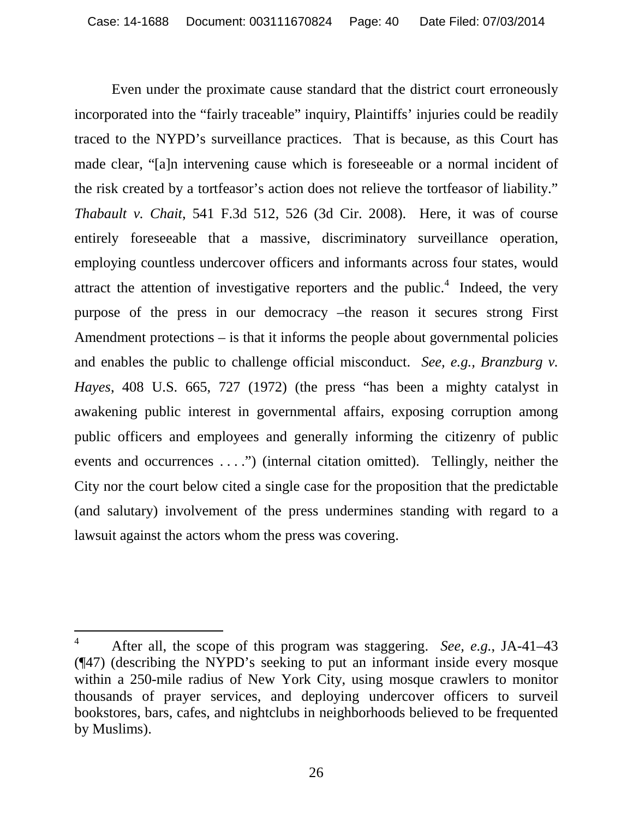Even under the proximate cause standard that the district court erroneously incorporated into the "fairly traceable" inquiry, Plaintiffs' injuries could be readily traced to the NYPD's surveillance practices. That is because, as this Court has made clear, "[a]n intervening cause which is foreseeable or a normal incident of the risk created by a tortfeasor's action does not relieve the tortfeasor of liability." *Thabault v. Chait*, 541 F.3d 512, 526 (3d Cir. 2008). Here, it was of course entirely foreseeable that a massive, discriminatory surveillance operation, employing countless undercover officers and informants across four states, would attract the attention of investigative reporters and the public.<sup>4</sup> Indeed, the very purpose of the press in our democracy –the reason it secures strong First Amendment protections – is that it informs the people about governmental policies and enables the public to challenge official misconduct. *See, e.g., Branzburg v. Hayes*, 408 U.S. 665, 727 (1972) (the press "has been a mighty catalyst in awakening public interest in governmental affairs, exposing corruption among public officers and employees and generally informing the citizenry of public events and occurrences . . . .") (internal citation omitted). Tellingly, neither the City nor the court below cited a single case for the proposition that the predictable (and salutary) involvement of the press undermines standing with regard to a lawsuit against the actors whom the press was covering.

<sup>4</sup> After all, the scope of this program was staggering. *See, e.g.*, JA-41–43 (¶47) (describing the NYPD's seeking to put an informant inside every mosque within a 250-mile radius of New York City, using mosque crawlers to monitor thousands of prayer services, and deploying undercover officers to surveil bookstores, bars, cafes, and nightclubs in neighborhoods believed to be frequented by Muslims).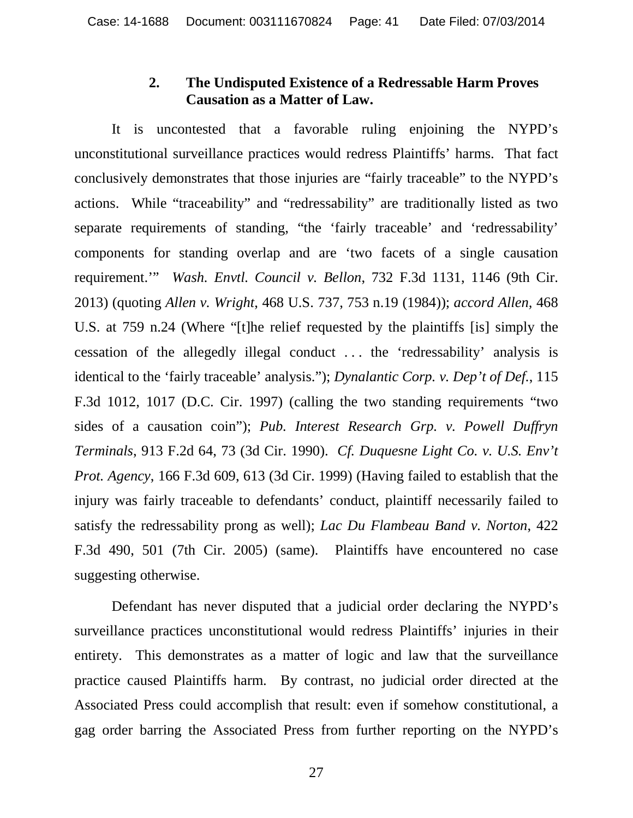#### **2. The Undisputed Existence of a Redressable Harm Proves Causation as a Matter of Law.**

It is uncontested that a favorable ruling enjoining the NYPD's unconstitutional surveillance practices would redress Plaintiffs' harms. That fact conclusively demonstrates that those injuries are "fairly traceable" to the NYPD's actions. While "traceability" and "redressability" are traditionally listed as two separate requirements of standing, "the 'fairly traceable' and 'redressability' components for standing overlap and are 'two facets of a single causation requirement.'" *Wash. Envtl. Council v. Bellon*, 732 F.3d 1131, 1146 (9th Cir. 2013) (quoting *Allen v. Wright*, 468 U.S. 737, 753 n.19 (1984)); *accord Allen,* 468 U.S. at 759 n.24 (Where "[t]he relief requested by the plaintiffs [is] simply the cessation of the allegedly illegal conduct . . . the 'redressability' analysis is identical to the 'fairly traceable' analysis."); *Dynalantic Corp. v. Dep't of Def.*, 115 F.3d 1012, 1017 (D.C. Cir. 1997) (calling the two standing requirements "two sides of a causation coin"); *Pub. Interest Research Grp. v. Powell Duffryn Terminals*, 913 F.2d 64, 73 (3d Cir. 1990). *Cf. Duquesne Light Co. v. U.S. Env't Prot. Agency*, 166 F.3d 609, 613 (3d Cir. 1999) (Having failed to establish that the injury was fairly traceable to defendants' conduct, plaintiff necessarily failed to satisfy the redressability prong as well); *Lac Du Flambeau Band v. Norton*, 422 F.3d 490, 501 (7th Cir. 2005) (same). Plaintiffs have encountered no case suggesting otherwise.

Defendant has never disputed that a judicial order declaring the NYPD's surveillance practices unconstitutional would redress Plaintiffs' injuries in their entirety. This demonstrates as a matter of logic and law that the surveillance practice caused Plaintiffs harm. By contrast, no judicial order directed at the Associated Press could accomplish that result: even if somehow constitutional, a gag order barring the Associated Press from further reporting on the NYPD's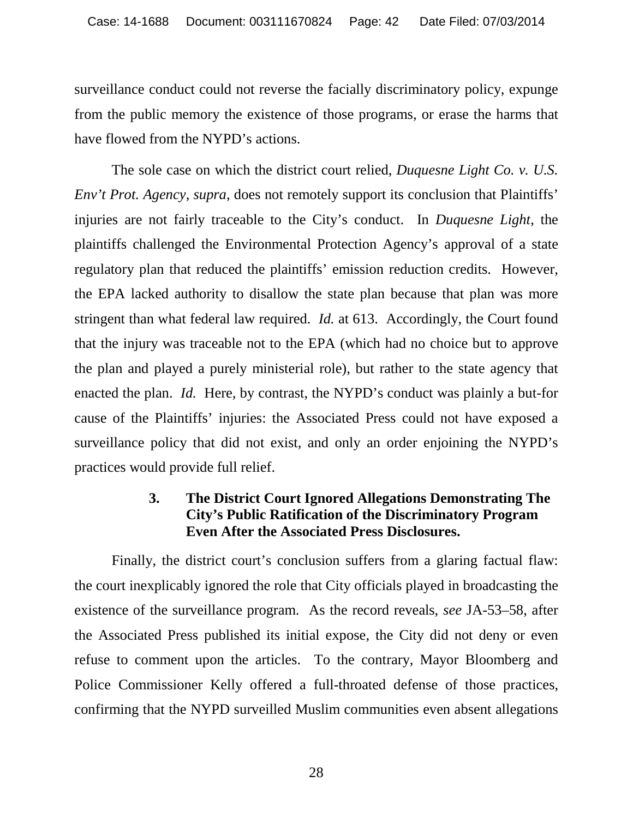surveillance conduct could not reverse the facially discriminatory policy, expunge from the public memory the existence of those programs, or erase the harms that have flowed from the NYPD's actions.

The sole case on which the district court relied, *Duquesne Light Co. v. U.S. Env't Prot. Agency, supra, does not remotely support its conclusion that Plaintiffs'* injuries are not fairly traceable to the City's conduct. In *Duquesne Light*, the plaintiffs challenged the Environmental Protection Agency's approval of a state regulatory plan that reduced the plaintiffs' emission reduction credits. However, the EPA lacked authority to disallow the state plan because that plan was more stringent than what federal law required. *Id.* at 613. Accordingly, the Court found that the injury was traceable not to the EPA (which had no choice but to approve the plan and played a purely ministerial role), but rather to the state agency that enacted the plan. *Id.* Here, by contrast, the NYPD's conduct was plainly a but-for cause of the Plaintiffs' injuries: the Associated Press could not have exposed a surveillance policy that did not exist, and only an order enjoining the NYPD's practices would provide full relief.

# **3. The District Court Ignored Allegations Demonstrating The City's Public Ratification of the Discriminatory Program Even After the Associated Press Disclosures.**

Finally, the district court's conclusion suffers from a glaring factual flaw: the court inexplicably ignored the role that City officials played in broadcasting the existence of the surveillance program. As the record reveals, *see* JA-53–58, after the Associated Press published its initial expose, the City did not deny or even refuse to comment upon the articles. To the contrary, Mayor Bloomberg and Police Commissioner Kelly offered a full-throated defense of those practices, confirming that the NYPD surveilled Muslim communities even absent allegations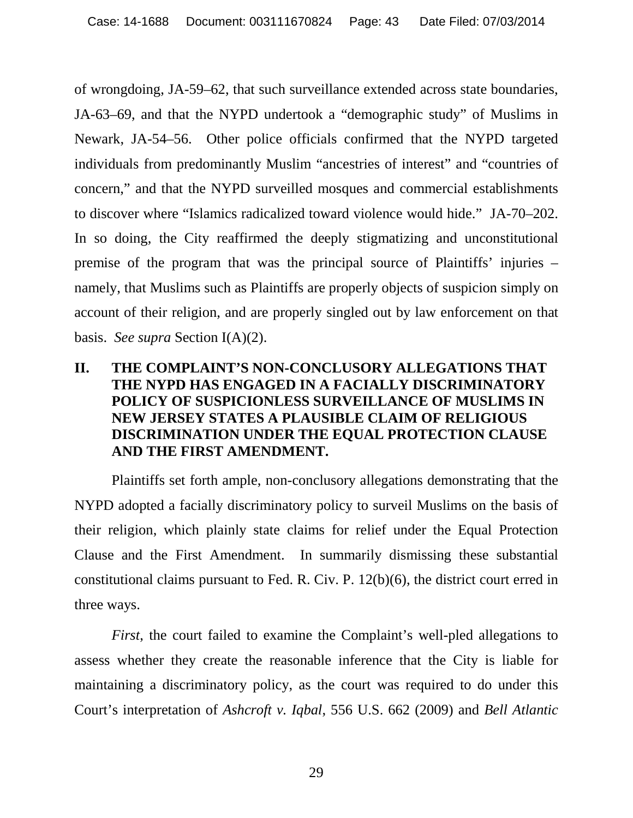of wrongdoing, JA-59–62, that such surveillance extended across state boundaries, JA-63–69, and that the NYPD undertook a "demographic study" of Muslims in Newark, JA-54–56. Other police officials confirmed that the NYPD targeted individuals from predominantly Muslim "ancestries of interest" and "countries of concern," and that the NYPD surveilled mosques and commercial establishments to discover where "Islamics radicalized toward violence would hide." JA-70–202. In so doing, the City reaffirmed the deeply stigmatizing and unconstitutional premise of the program that was the principal source of Plaintiffs' injuries – namely, that Muslims such as Plaintiffs are properly objects of suspicion simply on account of their religion, and are properly singled out by law enforcement on that basis. *See supra* Section I(A)(2).

# **II. THE COMPLAINT'S NON-CONCLUSORY ALLEGATIONS THAT THE NYPD HAS ENGAGED IN A FACIALLY DISCRIMINATORY POLICY OF SUSPICIONLESS SURVEILLANCE OF MUSLIMS IN NEW JERSEY STATES A PLAUSIBLE CLAIM OF RELIGIOUS DISCRIMINATION UNDER THE EQUAL PROTECTION CLAUSE AND THE FIRST AMENDMENT.**

Plaintiffs set forth ample, non-conclusory allegations demonstrating that the NYPD adopted a facially discriminatory policy to surveil Muslims on the basis of their religion, which plainly state claims for relief under the Equal Protection Clause and the First Amendment. In summarily dismissing these substantial constitutional claims pursuant to Fed. R. Civ. P. 12(b)(6), the district court erred in three ways.

*First*, the court failed to examine the Complaint's well-pled allegations to assess whether they create the reasonable inference that the City is liable for maintaining a discriminatory policy, as the court was required to do under this Court's interpretation of *Ashcroft v. Iqbal*, 556 U.S. 662 (2009) and *Bell Atlantic*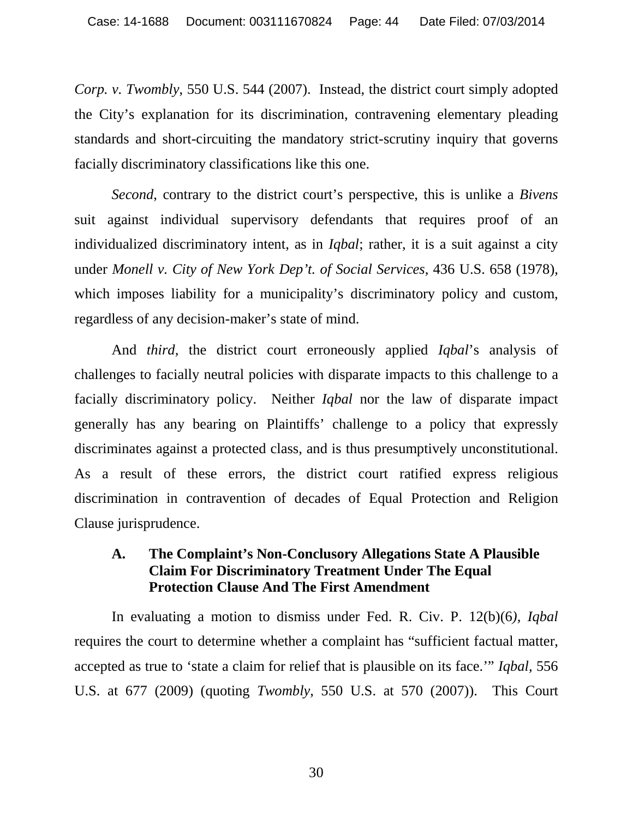*Corp. v. Twombly*, 550 U.S. 544 (2007). Instead, the district court simply adopted the City's explanation for its discrimination, contravening elementary pleading standards and short-circuiting the mandatory strict-scrutiny inquiry that governs facially discriminatory classifications like this one.

*Second*, contrary to the district court's perspective, this is unlike a *Bivens*  suit against individual supervisory defendants that requires proof of an individualized discriminatory intent, as in *Iqbal*; rather, it is a suit against a city under *Monell v. City of New York Dep't. of Social Services*, 436 U.S. 658 (1978), which imposes liability for a municipality's discriminatory policy and custom, regardless of any decision-maker's state of mind.

And *third*, the district court erroneously applied *Iqbal*'s analysis of challenges to facially neutral policies with disparate impacts to this challenge to a facially discriminatory policy. Neither *Iqbal* nor the law of disparate impact generally has any bearing on Plaintiffs' challenge to a policy that expressly discriminates against a protected class, and is thus presumptively unconstitutional. As a result of these errors, the district court ratified express religious discrimination in contravention of decades of Equal Protection and Religion Clause jurisprudence.

# **A. The Complaint's Non-Conclusory Allegations State A Plausible Claim For Discriminatory Treatment Under The Equal Protection Clause And The First Amendment**

In evaluating a motion to dismiss under Fed. R. Civ. P. 12(b)(6*), Iqbal* requires the court to determine whether a complaint has "sufficient factual matter, accepted as true to 'state a claim for relief that is plausible on its face.'" *Iqbal,* 556 U.S. at 677 (2009) (quoting *Twombly*, 550 U.S. at 570 (2007)). This Court

30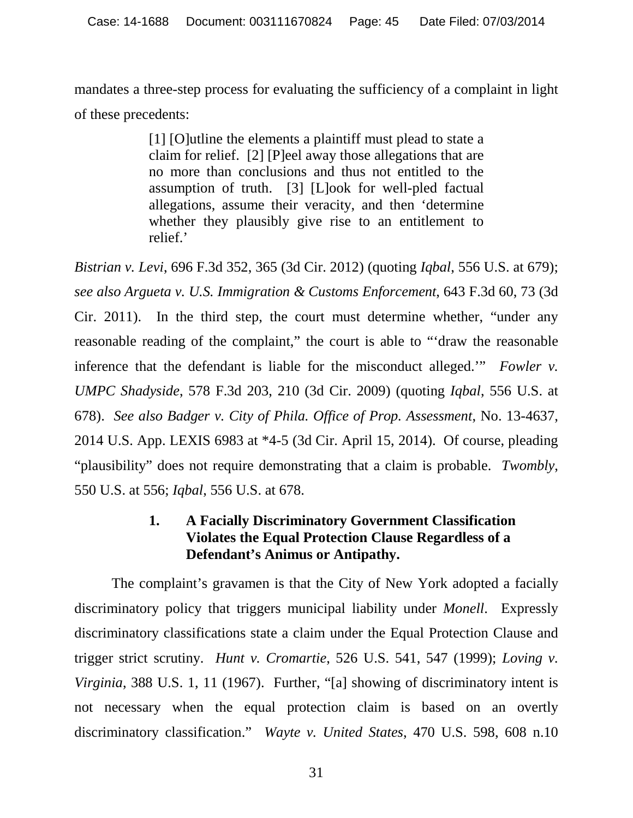mandates a three-step process for evaluating the sufficiency of a complaint in light of these precedents:

> [1] [O]utline the elements a plaintiff must plead to state a claim for relief. [2] [P]eel away those allegations that are no more than conclusions and thus not entitled to the assumption of truth. [3] [L]ook for well-pled factual allegations, assume their veracity, and then 'determine whether they plausibly give rise to an entitlement to relief.'

*Bistrian v. Levi*, 696 F.3d 352, 365 (3d Cir. 2012) (quoting *Iqbal*, 556 U.S. at 679); *see also Argueta v. U.S. Immigration & Customs Enforcement*, 643 F.3d 60, 73 (3d Cir. 2011). In the third step, the court must determine whether, "under any reasonable reading of the complaint," the court is able to "'draw the reasonable inference that the defendant is liable for the misconduct alleged.'" *Fowler v. UMPC Shadyside*, 578 F.3d 203, 210 (3d Cir. 2009) (quoting *Iqbal*, 556 U.S. at 678). *See also Badger v. City of Phila. Office of Prop. Assessment*, No. 13-4637, 2014 U.S. App. LEXIS 6983 at \*4-5 (3d Cir. April 15, 2014). Of course, pleading "plausibility" does not require demonstrating that a claim is probable. *Twombly*, 550 U.S. at 556; *Iqbal*, 556 U.S. at 678.

#### **1. A Facially Discriminatory Government Classification Violates the Equal Protection Clause Regardless of a Defendant's Animus or Antipathy.**

The complaint's gravamen is that the City of New York adopted a facially discriminatory policy that triggers municipal liability under *Monell*. Expressly discriminatory classifications state a claim under the Equal Protection Clause and trigger strict scrutiny. *Hunt v. Cromartie*, 526 U.S. 541, 547 (1999); *Loving v. Virginia*, 388 U.S. 1, 11 (1967). Further, "[a] showing of discriminatory intent is not necessary when the equal protection claim is based on an overtly discriminatory classification." *Wayte v. United States*, 470 U.S. 598, 608 n.10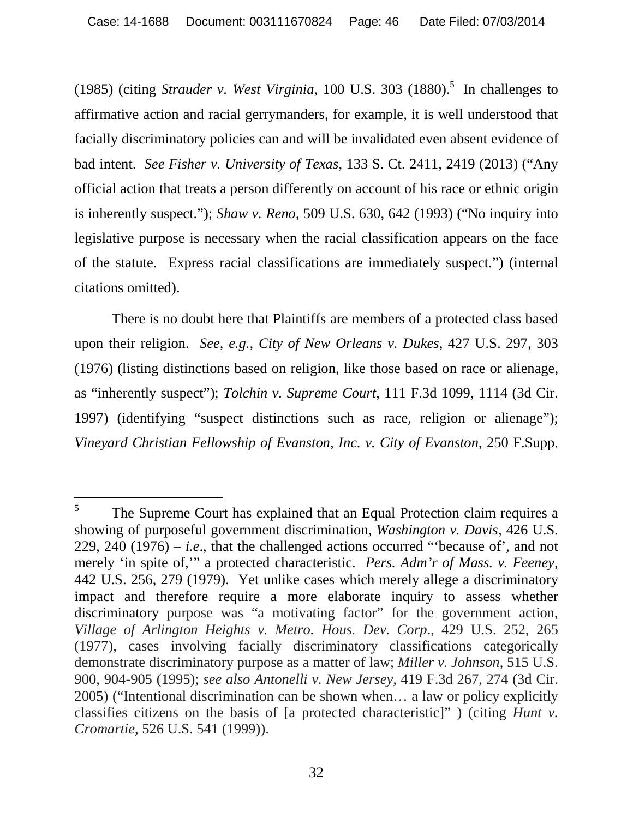(1985) (citing *Strauder v. West Virginia*, 100 U.S. 303 (1880).<sup>5</sup> In challenges to affirmative action and racial gerrymanders, for example, it is well understood that facially discriminatory policies can and will be invalidated even absent evidence of bad intent. *See Fisher v. University of Texas*, 133 S. Ct. 2411, 2419 (2013) ("Any official action that treats a person differently on account of his race or ethnic origin is inherently suspect."); *Shaw v. Reno*, 509 U.S. 630, 642 (1993) ("No inquiry into legislative purpose is necessary when the racial classification appears on the face of the statute. Express racial classifications are immediately suspect.") (internal citations omitted).

There is no doubt here that Plaintiffs are members of a protected class based upon their religion. *See, e.g., City of New Orleans v. Dukes*, 427 U.S. 297, 303 (1976) (listing distinctions based on religion, like those based on race or alienage, as "inherently suspect"); *Tolchin v. Supreme Court*, 111 F.3d 1099, 1114 (3d Cir. 1997) (identifying "suspect distinctions such as race, religion or alienage"); *Vineyard Christian Fellowship of Evanston, Inc. v. City of Evanston*, 250 F.Supp.

<sup>5</sup> The Supreme Court has explained that an Equal Protection claim requires a showing of purposeful government discrimination, *Washington v. Davis*, 426 U.S. 229, 240  $(1976) - i.e.,$  that the challenged actions occurred "because of", and not merely 'in spite of,'" a protected characteristic. *Pers. Adm'r of Mass. v. Feeney*, 442 U.S. 256, 279 (1979). Yet unlike cases which merely allege a discriminatory impact and therefore require a more elaborate inquiry to assess whether discriminatory purpose was "a motivating factor" for the government action, *Village of Arlington Heights v. Metro. Hous. Dev. Corp*., 429 U.S. 252, 265 (1977), cases involving facially discriminatory classifications categorically demonstrate discriminatory purpose as a matter of law; *Miller v. Johnson*, 515 U.S. 900, 904-905 (1995); *see also Antonelli v. New Jersey*, 419 F.3d 267, 274 (3d Cir. 2005) ("Intentional discrimination can be shown when… a law or policy explicitly classifies citizens on the basis of [a protected characteristic]" ) (citing *Hunt v. Cromartie*, 526 U.S. 541 (1999)).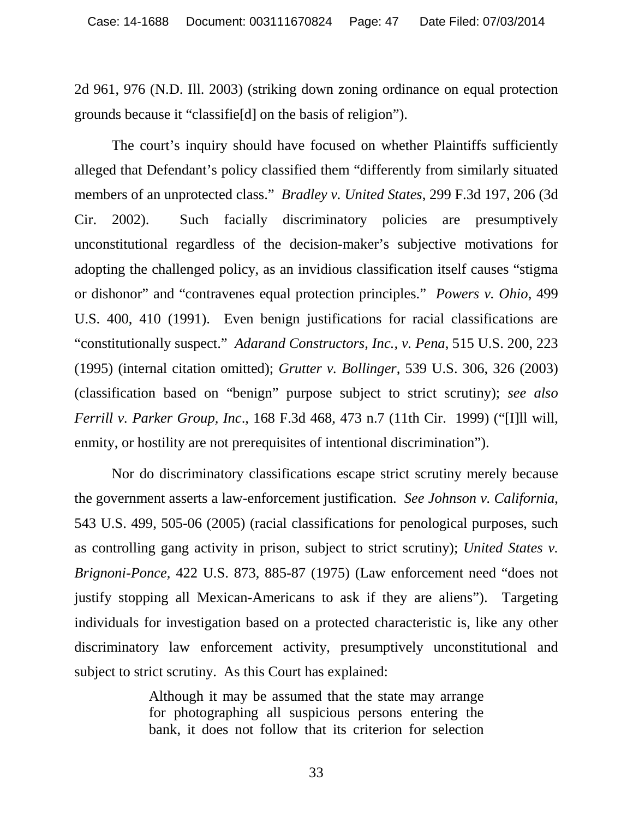2d 961, 976 (N.D. Ill. 2003) (striking down zoning ordinance on equal protection grounds because it "classifie[d] on the basis of religion").

The court's inquiry should have focused on whether Plaintiffs sufficiently alleged that Defendant's policy classified them "differently from similarly situated members of an unprotected class." *Bradley v. United States*, 299 F.3d 197, 206 (3d Cir. 2002). Such facially discriminatory policies are presumptively unconstitutional regardless of the decision-maker's subjective motivations for adopting the challenged policy, as an invidious classification itself causes "stigma or dishonor" and "contravenes equal protection principles." *Powers v. Ohio*, 499 U.S. 400, 410 (1991). Even benign justifications for racial classifications are "constitutionally suspect." *Adarand Constructors, Inc., v. Pena*, 515 U.S. 200, 223 (1995) (internal citation omitted); *Grutter v. Bollinger*, 539 U.S. 306, 326 (2003) (classification based on "benign" purpose subject to strict scrutiny); *see also Ferrill v. Parker Group, Inc*., 168 F.3d 468, 473 n.7 (11th Cir. 1999) ("[I]ll will, enmity, or hostility are not prerequisites of intentional discrimination").

Nor do discriminatory classifications escape strict scrutiny merely because the government asserts a law-enforcement justification. *See Johnson v. California*, 543 U.S. 499, 505-06 (2005) (racial classifications for penological purposes, such as controlling gang activity in prison, subject to strict scrutiny); *United States v. Brignoni-Ponce*, 422 U.S. 873, 885-87 (1975) (Law enforcement need "does not justify stopping all Mexican-Americans to ask if they are aliens"). Targeting individuals for investigation based on a protected characteristic is, like any other discriminatory law enforcement activity, presumptively unconstitutional and subject to strict scrutiny. As this Court has explained:

> Although it may be assumed that the state may arrange for photographing all suspicious persons entering the bank, it does not follow that its criterion for selection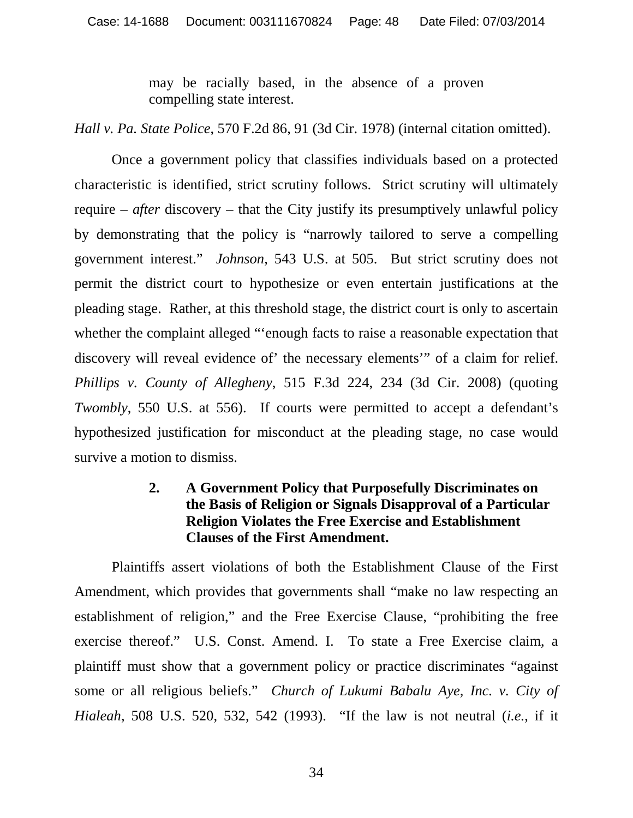may be racially based, in the absence of a proven compelling state interest.

*Hall v. Pa. State Police*, 570 F.2d 86, 91 (3d Cir. 1978) (internal citation omitted).

Once a government policy that classifies individuals based on a protected characteristic is identified, strict scrutiny follows. Strict scrutiny will ultimately require – *after* discovery – that the City justify its presumptively unlawful policy by demonstrating that the policy is "narrowly tailored to serve a compelling government interest." *Johnson*, 543 U.S. at 505. But strict scrutiny does not permit the district court to hypothesize or even entertain justifications at the pleading stage. Rather, at this threshold stage, the district court is only to ascertain whether the complaint alleged "'enough facts to raise a reasonable expectation that discovery will reveal evidence of' the necessary elements'" of a claim for relief. *Phillips v. County of Allegheny*, 515 F.3d 224, 234 (3d Cir. 2008) (quoting *Twombly*, 550 U.S. at 556). If courts were permitted to accept a defendant's hypothesized justification for misconduct at the pleading stage, no case would survive a motion to dismiss.

## **2. A Government Policy that Purposefully Discriminates on the Basis of Religion or Signals Disapproval of a Particular Religion Violates the Free Exercise and Establishment Clauses of the First Amendment.**

Plaintiffs assert violations of both the Establishment Clause of the First Amendment, which provides that governments shall "make no law respecting an establishment of religion," and the Free Exercise Clause, "prohibiting the free exercise thereof." U.S. Const. Amend. I. To state a Free Exercise claim, a plaintiff must show that a government policy or practice discriminates "against some or all religious beliefs." *Church of Lukumi Babalu Aye, Inc. v. City of Hialeah*, 508 U.S. 520, 532, 542 (1993). "If the law is not neutral (*i.e.*, if it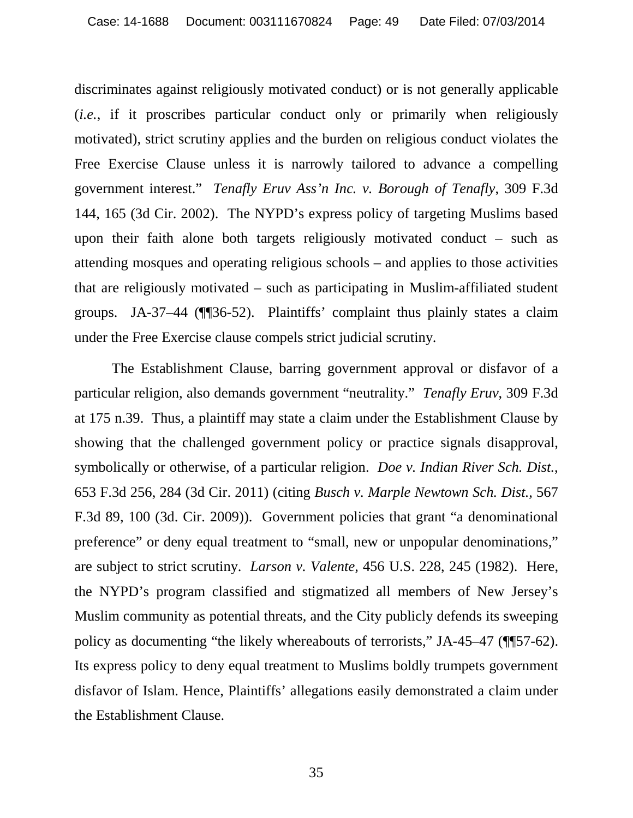discriminates against religiously motivated conduct) or is not generally applicable (*i.e.*, if it proscribes particular conduct only or primarily when religiously motivated), strict scrutiny applies and the burden on religious conduct violates the Free Exercise Clause unless it is narrowly tailored to advance a compelling government interest." *Tenafly Eruv Ass'n Inc. v. Borough of Tenafly*, 309 F.3d 144, 165 (3d Cir. 2002). The NYPD's express policy of targeting Muslims based upon their faith alone both targets religiously motivated conduct – such as attending mosques and operating religious schools – and applies to those activities that are religiously motivated – such as participating in Muslim-affiliated student groups. JA-37–44 (¶¶36-52). Plaintiffs' complaint thus plainly states a claim under the Free Exercise clause compels strict judicial scrutiny.

The Establishment Clause, barring government approval or disfavor of a particular religion, also demands government "neutrality." *Tenafly Eruv*, 309 F.3d at 175 n.39. Thus, a plaintiff may state a claim under the Establishment Clause by showing that the challenged government policy or practice signals disapproval, symbolically or otherwise, of a particular religion. *Doe v. Indian River Sch. Dist.*, 653 F.3d 256, 284 (3d Cir. 2011) (citing *Busch v. Marple Newtown Sch. Dist.,* 567 F.3d 89, 100 (3d. Cir. 2009)). Government policies that grant "a denominational preference" or deny equal treatment to "small, new or unpopular denominations," are subject to strict scrutiny. *Larson v. Valente,* 456 U.S. 228, 245 (1982). Here, the NYPD's program classified and stigmatized all members of New Jersey's Muslim community as potential threats, and the City publicly defends its sweeping policy as documenting "the likely whereabouts of terrorists," JA-45–47 (¶¶57-62). Its express policy to deny equal treatment to Muslims boldly trumpets government disfavor of Islam. Hence, Plaintiffs' allegations easily demonstrated a claim under the Establishment Clause.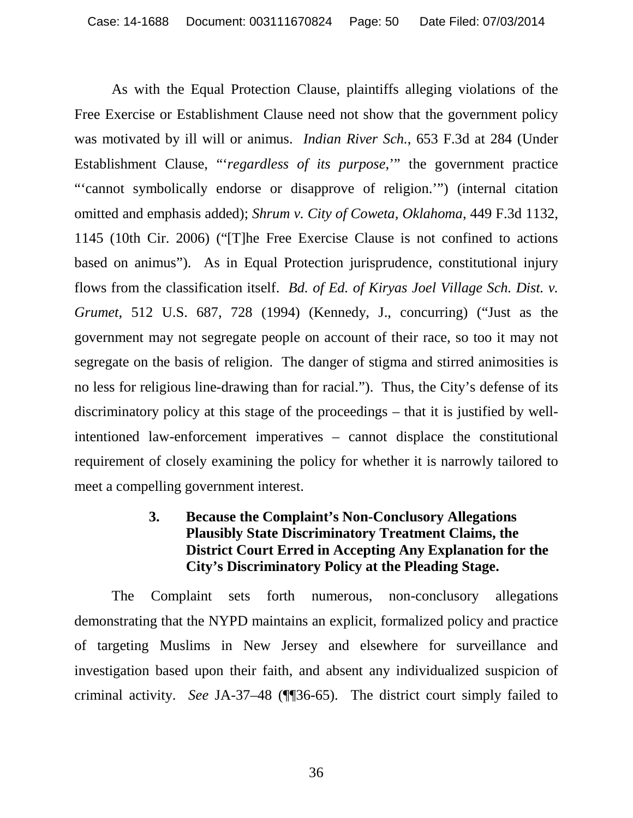As with the Equal Protection Clause, plaintiffs alleging violations of the Free Exercise or Establishment Clause need not show that the government policy was motivated by ill will or animus. *Indian River Sch.*, 653 F.3d at 284 (Under Establishment Clause, "'*regardless of its purpose*,'" the government practice "'cannot symbolically endorse or disapprove of religion.'") (internal citation omitted and emphasis added); *Shrum v. City of Coweta, Oklahoma*, 449 F.3d 1132, 1145 (10th Cir. 2006) ("[T]he Free Exercise Clause is not confined to actions based on animus"). As in Equal Protection jurisprudence, constitutional injury flows from the classification itself. *Bd. of Ed. of Kiryas Joel Village Sch. Dist. v. Grumet*, 512 U.S. 687, 728 (1994) (Kennedy, J., concurring) ("Just as the government may not segregate people on account of their race, so too it may not segregate on the basis of religion. The danger of stigma and stirred animosities is no less for religious line-drawing than for racial."). Thus, the City's defense of its discriminatory policy at this stage of the proceedings – that it is justified by wellintentioned law-enforcement imperatives – cannot displace the constitutional requirement of closely examining the policy for whether it is narrowly tailored to meet a compelling government interest.

# **3. Because the Complaint's Non-Conclusory Allegations Plausibly State Discriminatory Treatment Claims, the District Court Erred in Accepting Any Explanation for the City's Discriminatory Policy at the Pleading Stage.**

The Complaint sets forth numerous, non-conclusory allegations demonstrating that the NYPD maintains an explicit, formalized policy and practice of targeting Muslims in New Jersey and elsewhere for surveillance and investigation based upon their faith, and absent any individualized suspicion of criminal activity. *See* JA-37–48 (¶¶36-65). The district court simply failed to

36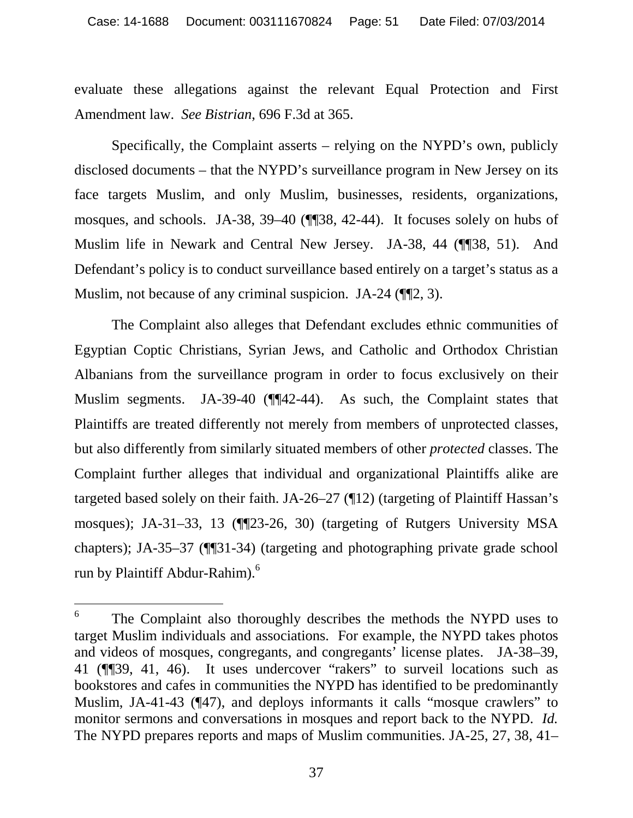evaluate these allegations against the relevant Equal Protection and First Amendment law. *See Bistrian*, 696 F.3d at 365.

Specifically, the Complaint asserts – relying on the NYPD's own, publicly disclosed documents – that the NYPD's surveillance program in New Jersey on its face targets Muslim, and only Muslim, businesses, residents, organizations, mosques, and schools. JA-38, 39–40 (¶¶38, 42-44). It focuses solely on hubs of Muslim life in Newark and Central New Jersey. JA-38, 44 (¶¶38, 51). And Defendant's policy is to conduct surveillance based entirely on a target's status as a Muslim, not because of any criminal suspicion. JA-24 ( $\P$  $[2, 3)$ .

The Complaint also alleges that Defendant excludes ethnic communities of Egyptian Coptic Christians, Syrian Jews, and Catholic and Orthodox Christian Albanians from the surveillance program in order to focus exclusively on their Muslim segments. JA-39-40 (¶¶42-44). As such, the Complaint states that Plaintiffs are treated differently not merely from members of unprotected classes, but also differently from similarly situated members of other *protected* classes. The Complaint further alleges that individual and organizational Plaintiffs alike are targeted based solely on their faith. JA-26–27 (¶12) (targeting of Plaintiff Hassan's mosques); JA-31–33, 13 (¶¶23-26, 30) (targeting of Rutgers University MSA chapters); JA-35–37 (¶¶31-34) (targeting and photographing private grade school run by Plaintiff Abdur-Rahim).<sup>6</sup>

<sup>6</sup> The Complaint also thoroughly describes the methods the NYPD uses to target Muslim individuals and associations. For example, the NYPD takes photos and videos of mosques, congregants, and congregants' license plates. JA-38–39, 41 (¶¶39, 41, 46). It uses undercover "rakers" to surveil locations such as bookstores and cafes in communities the NYPD has identified to be predominantly Muslim, JA-41-43 (¶47), and deploys informants it calls "mosque crawlers" to monitor sermons and conversations in mosques and report back to the NYPD. *Id.* The NYPD prepares reports and maps of Muslim communities. JA-25, 27, 38, 41–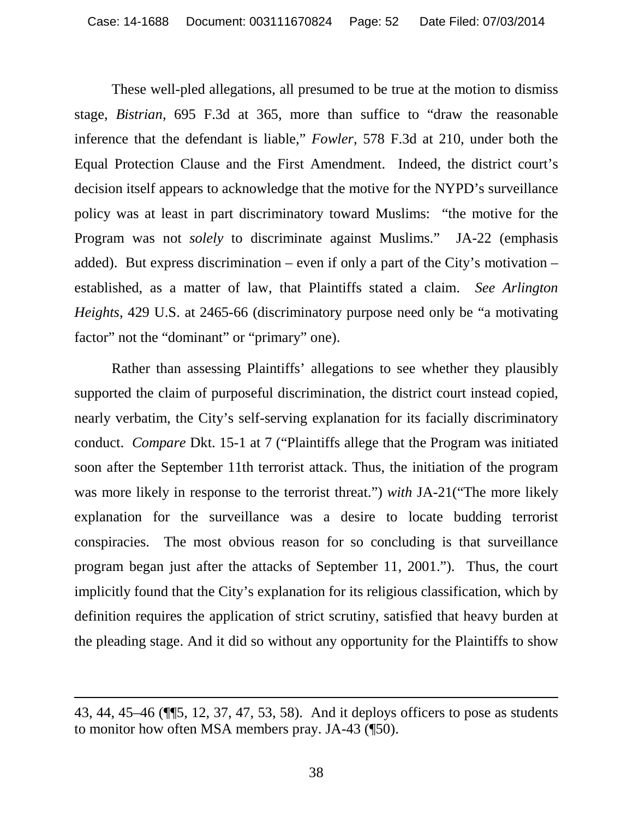These well-pled allegations, all presumed to be true at the motion to dismiss stage, *Bistrian*, 695 F.3d at 365, more than suffice to "draw the reasonable inference that the defendant is liable," *Fowler*, 578 F.3d at 210, under both the Equal Protection Clause and the First Amendment. Indeed, the district court's decision itself appears to acknowledge that the motive for the NYPD's surveillance policy was at least in part discriminatory toward Muslims: "the motive for the Program was not *solely* to discriminate against Muslims." JA-22 (emphasis added). But express discrimination – even if only a part of the City's motivation – established, as a matter of law, that Plaintiffs stated a claim. *See Arlington Heights*, 429 U.S. at 2465-66 (discriminatory purpose need only be "a motivating factor" not the "dominant" or "primary" one).

Rather than assessing Plaintiffs' allegations to see whether they plausibly supported the claim of purposeful discrimination, the district court instead copied, nearly verbatim, the City's self-serving explanation for its facially discriminatory conduct. *Compare* Dkt. 15-1 at 7 ("Plaintiffs allege that the Program was initiated soon after the September 11th terrorist attack. Thus, the initiation of the program was more likely in response to the terrorist threat.") *with* JA-21("The more likely explanation for the surveillance was a desire to locate budding terrorist conspiracies. The most obvious reason for so concluding is that surveillance program began just after the attacks of September 11, 2001."). Thus, the court implicitly found that the City's explanation for its religious classification, which by definition requires the application of strict scrutiny, satisfied that heavy burden at the pleading stage. And it did so without any opportunity for the Plaintiffs to show

<sup>43, 44, 45–46 (¶¶5, 12, 37, 47, 53, 58).</sup> And it deploys officers to pose as students to monitor how often MSA members pray. JA-43 (¶50).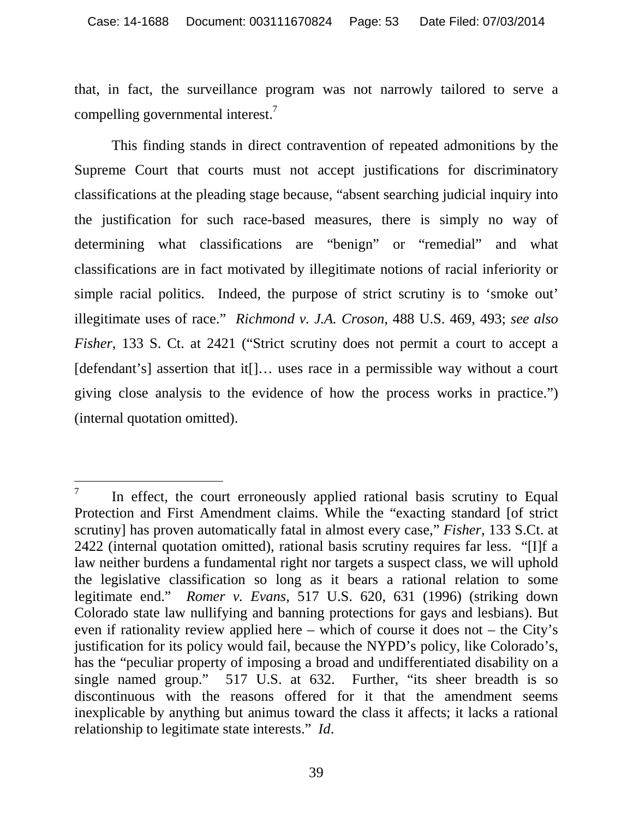that, in fact, the surveillance program was not narrowly tailored to serve a compelling governmental interest.7

This finding stands in direct contravention of repeated admonitions by the Supreme Court that courts must not accept justifications for discriminatory classifications at the pleading stage because, "absent searching judicial inquiry into the justification for such race-based measures, there is simply no way of determining what classifications are "benign" or "remedial" and what classifications are in fact motivated by illegitimate notions of racial inferiority or simple racial politics. Indeed, the purpose of strict scrutiny is to 'smoke out' illegitimate uses of race." *Richmond v. J.A. Croson*, 488 U.S. 469, 493; *see also Fisher*, 133 S. Ct. at 2421 ("Strict scrutiny does not permit a court to accept a [defendant's] assertion that it<sup>[]</sup>... uses race in a permissible way without a court giving close analysis to the evidence of how the process works in practice.") (internal quotation omitted).

 $\overline{a}$ 7 In effect, the court erroneously applied rational basis scrutiny to Equal Protection and First Amendment claims. While the "exacting standard [of strict scrutiny] has proven automatically fatal in almost every case," *Fisher*, 133 S.Ct. at 2422 (internal quotation omitted), rational basis scrutiny requires far less. "[I]f a law neither burdens a fundamental right nor targets a suspect class, we will uphold the legislative classification so long as it bears a rational relation to some legitimate end." *Romer v. Evans*, 517 U.S. 620, 631 (1996) (striking down Colorado state law nullifying and banning protections for gays and lesbians). But even if rationality review applied here – which of course it does not – the City's justification for its policy would fail, because the NYPD's policy, like Colorado's, has the "peculiar property of imposing a broad and undifferentiated disability on a single named group." 517 U.S. at 632. Further, "its sheer breadth is so discontinuous with the reasons offered for it that the amendment seems inexplicable by anything but animus toward the class it affects; it lacks a rational relationship to legitimate state interests." *Id*.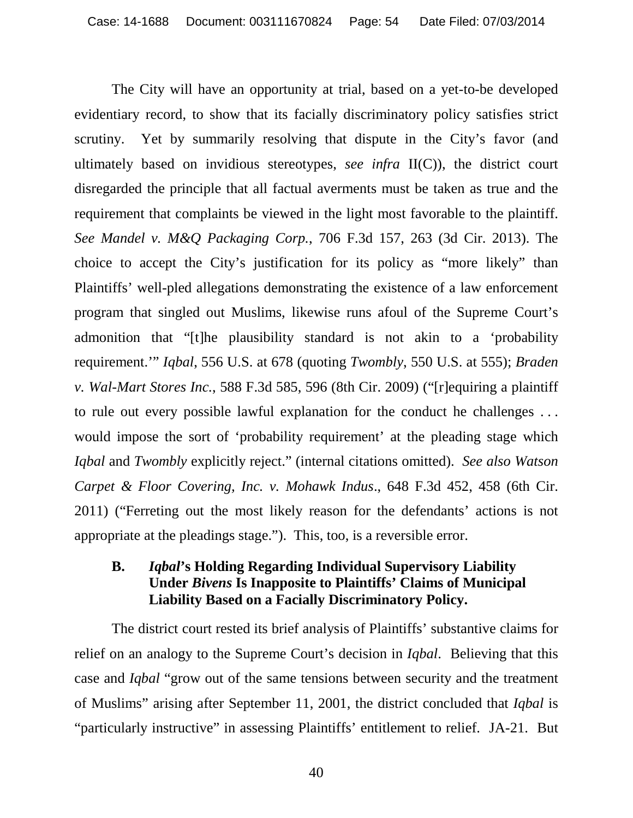The City will have an opportunity at trial, based on a yet-to-be developed evidentiary record, to show that its facially discriminatory policy satisfies strict scrutiny. Yet by summarily resolving that dispute in the City's favor (and ultimately based on invidious stereotypes, *see infra* II(C)), the district court disregarded the principle that all factual averments must be taken as true and the requirement that complaints be viewed in the light most favorable to the plaintiff. *See Mandel v. M&Q Packaging Corp.*, 706 F.3d 157, 263 (3d Cir. 2013). The choice to accept the City's justification for its policy as "more likely" than Plaintiffs' well-pled allegations demonstrating the existence of a law enforcement program that singled out Muslims, likewise runs afoul of the Supreme Court's admonition that "[t]he plausibility standard is not akin to a 'probability requirement.'" *Iqbal*, 556 U.S. at 678 (quoting *Twombly*, 550 U.S. at 555); *Braden v. Wal-Mart Stores Inc.*, 588 F.3d 585, 596 (8th Cir. 2009) ("[r]equiring a plaintiff to rule out every possible lawful explanation for the conduct he challenges . . . would impose the sort of 'probability requirement' at the pleading stage which *Iqbal* and *Twombly* explicitly reject." (internal citations omitted). *See also Watson Carpet & Floor Covering, Inc. v. Mohawk Indus*., 648 F.3d 452, 458 (6th Cir. 2011) ("Ferreting out the most likely reason for the defendants' actions is not appropriate at the pleadings stage."). This, too, is a reversible error.

# **B.** *Iqbal***'s Holding Regarding Individual Supervisory Liability Under** *Bivens* **Is Inapposite to Plaintiffs' Claims of Municipal Liability Based on a Facially Discriminatory Policy.**

The district court rested its brief analysis of Plaintiffs' substantive claims for relief on an analogy to the Supreme Court's decision in *Iqbal*. Believing that this case and *Iqbal* "grow out of the same tensions between security and the treatment of Muslims" arising after September 11, 2001, the district concluded that *Iqbal* is "particularly instructive" in assessing Plaintiffs' entitlement to relief. JA-21. But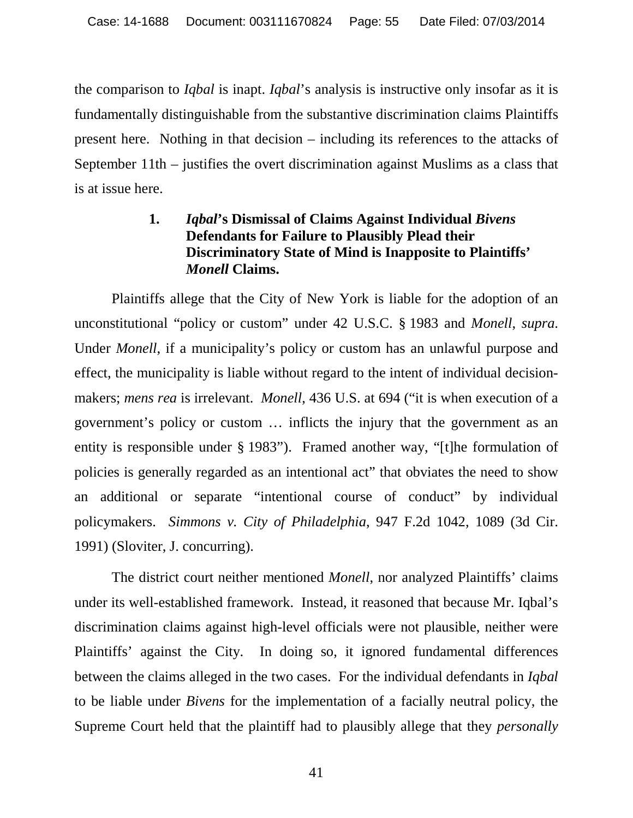the comparison to *Iqbal* is inapt. *Iqbal*'s analysis is instructive only insofar as it is fundamentally distinguishable from the substantive discrimination claims Plaintiffs present here. Nothing in that decision – including its references to the attacks of September 11th – justifies the overt discrimination against Muslims as a class that is at issue here.

# **1.** *Iqbal***'s Dismissal of Claims Against Individual** *Bivens* **Defendants for Failure to Plausibly Plead their Discriminatory State of Mind is Inapposite to Plaintiffs'**  *Monell* **Claims.**

Plaintiffs allege that the City of New York is liable for the adoption of an unconstitutional "policy or custom" under 42 U.S.C. § 1983 and *Monell*, *supra*. Under *Monell*, if a municipality's policy or custom has an unlawful purpose and effect, the municipality is liable without regard to the intent of individual decisionmakers; *mens rea* is irrelevant. *Monell*, 436 U.S. at 694 ("it is when execution of a government's policy or custom … inflicts the injury that the government as an entity is responsible under § 1983"). Framed another way, "[t]he formulation of policies is generally regarded as an intentional act" that obviates the need to show an additional or separate "intentional course of conduct" by individual policymakers. *Simmons v. City of Philadelphia*, 947 F.2d 1042, 1089 (3d Cir. 1991) (Sloviter, J. concurring).

The district court neither mentioned *Monell*, nor analyzed Plaintiffs' claims under its well-established framework. Instead, it reasoned that because Mr. Iqbal's discrimination claims against high-level officials were not plausible, neither were Plaintiffs' against the City. In doing so, it ignored fundamental differences between the claims alleged in the two cases. For the individual defendants in *Iqbal*  to be liable under *Bivens* for the implementation of a facially neutral policy, the Supreme Court held that the plaintiff had to plausibly allege that they *personally*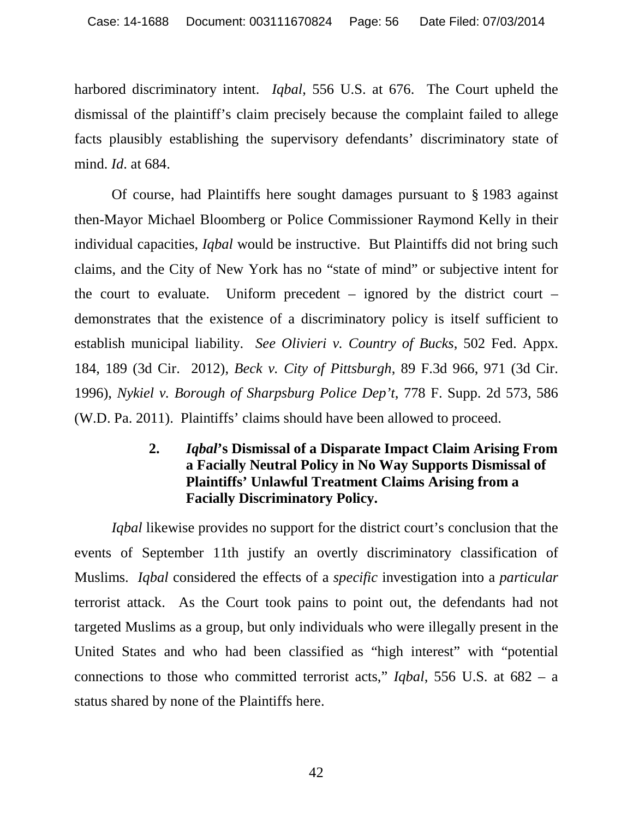harbored discriminatory intent. *Iqbal*, 556 U.S. at 676. The Court upheld the dismissal of the plaintiff's claim precisely because the complaint failed to allege facts plausibly establishing the supervisory defendants' discriminatory state of mind. *Id*. at 684.

Of course, had Plaintiffs here sought damages pursuant to § 1983 against then-Mayor Michael Bloomberg or Police Commissioner Raymond Kelly in their individual capacities, *Iqbal* would be instructive. But Plaintiffs did not bring such claims, and the City of New York has no "state of mind" or subjective intent for the court to evaluate. Uniform precedent  $-$  ignored by the district court  $$ demonstrates that the existence of a discriminatory policy is itself sufficient to establish municipal liability. *See Olivieri v. Country of Bucks*, 502 Fed. Appx. 184, 189 (3d Cir. 2012), *Beck v. City of Pittsburgh*, 89 F.3d 966, 971 (3d Cir. 1996), *Nykiel v. Borough of Sharpsburg Police Dep't*, 778 F. Supp. 2d 573, 586 (W.D. Pa. 2011). Plaintiffs' claims should have been allowed to proceed.

# **2.** *Iqbal***'s Dismissal of a Disparate Impact Claim Arising From a Facially Neutral Policy in No Way Supports Dismissal of Plaintiffs' Unlawful Treatment Claims Arising from a Facially Discriminatory Policy.**

*Iqbal* likewise provides no support for the district court's conclusion that the events of September 11th justify an overtly discriminatory classification of Muslims. *Iqbal* considered the effects of a *specific* investigation into a *particular* terrorist attack. As the Court took pains to point out, the defendants had not targeted Muslims as a group, but only individuals who were illegally present in the United States and who had been classified as "high interest" with "potential connections to those who committed terrorist acts," *Iqbal*, 556 U.S. at 682 – a status shared by none of the Plaintiffs here.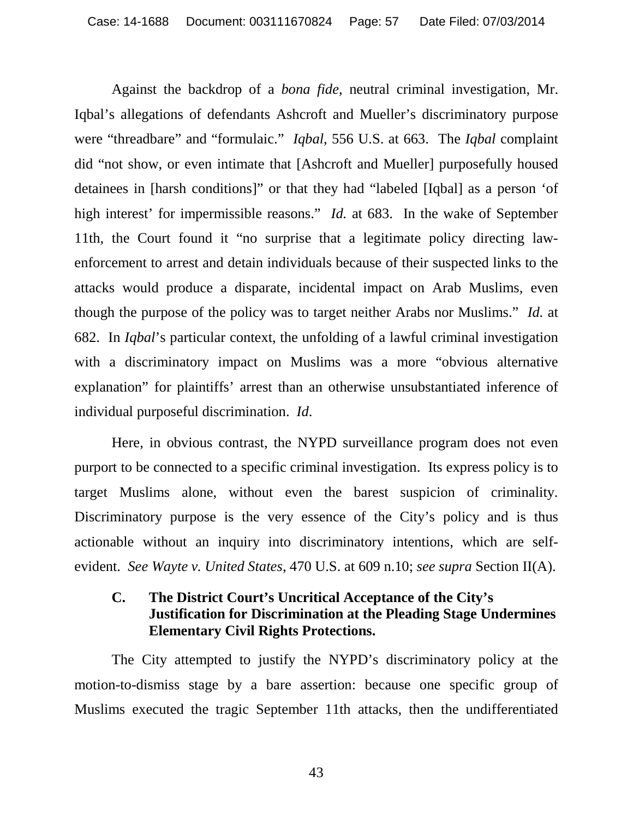Against the backdrop of a *bona fide*, neutral criminal investigation, Mr. Iqbal's allegations of defendants Ashcroft and Mueller's discriminatory purpose were "threadbare" and "formulaic." *Iqbal*, 556 U.S. at 663. The *Iqbal* complaint did "not show, or even intimate that [Ashcroft and Mueller] purposefully housed detainees in [harsh conditions]" or that they had "labeled [Iqbal] as a person 'of high interest' for impermissible reasons." *Id.* at 683. In the wake of September 11th, the Court found it "no surprise that a legitimate policy directing lawenforcement to arrest and detain individuals because of their suspected links to the attacks would produce a disparate, incidental impact on Arab Muslims, even though the purpose of the policy was to target neither Arabs nor Muslims." *Id.* at 682. In *Iqbal*'s particular context, the unfolding of a lawful criminal investigation with a discriminatory impact on Muslims was a more "obvious alternative" explanation" for plaintiffs' arrest than an otherwise unsubstantiated inference of individual purposeful discrimination. *Id*.

Here, in obvious contrast, the NYPD surveillance program does not even purport to be connected to a specific criminal investigation. Its express policy is to target Muslims alone, without even the barest suspicion of criminality. Discriminatory purpose is the very essence of the City's policy and is thus actionable without an inquiry into discriminatory intentions, which are selfevident. *See Wayte v. United States*, 470 U.S. at 609 n.10; *see supra* Section II(A).

# **C. The District Court's Uncritical Acceptance of the City's Justification for Discrimination at the Pleading Stage Undermines Elementary Civil Rights Protections.**

The City attempted to justify the NYPD's discriminatory policy at the motion-to-dismiss stage by a bare assertion: because one specific group of Muslims executed the tragic September 11th attacks, then the undifferentiated

43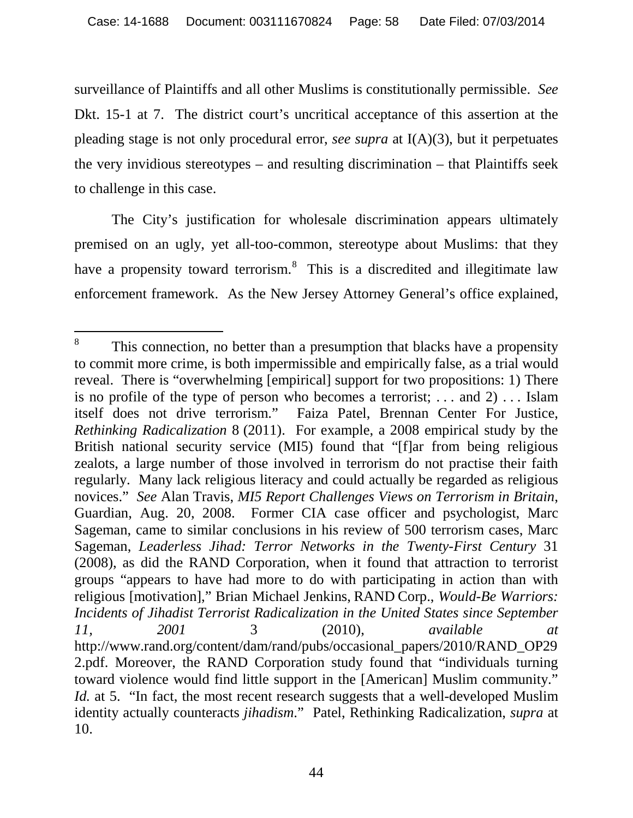surveillance of Plaintiffs and all other Muslims is constitutionally permissible. *See*  Dkt. 15-1 at 7. The district court's uncritical acceptance of this assertion at the pleading stage is not only procedural error, *see supra* at I(A)(3), but it perpetuates the very invidious stereotypes – and resulting discrimination – that Plaintiffs seek to challenge in this case.

The City's justification for wholesale discrimination appears ultimately premised on an ugly, yet all-too-common, stereotype about Muslims: that they have a propensity toward terrorism.<sup>8</sup> This is a discredited and illegitimate law enforcement framework. As the New Jersey Attorney General's office explained,

 $\overline{a}$ 8 This connection, no better than a presumption that blacks have a propensity to commit more crime, is both impermissible and empirically false, as a trial would reveal. There is "overwhelming [empirical] support for two propositions: 1) There is no profile of the type of person who becomes a terrorist; . . . and 2) . . . Islam itself does not drive terrorism." Faiza Patel, Brennan Center For Justice, *Rethinking Radicalization* 8 (2011). For example, a 2008 empirical study by the British national security service (MI5) found that "[f]ar from being religious zealots, a large number of those involved in terrorism do not practise their faith regularly. Many lack religious literacy and could actually be regarded as religious novices." *See* Alan Travis, *MI5 Report Challenges Views on Terrorism in Britain*, Guardian, Aug. 20, 2008. Former CIA case officer and psychologist, Marc Sageman, came to similar conclusions in his review of 500 terrorism cases, Marc Sageman, *Leaderless Jihad: Terror Networks in the Twenty-First Century* 31 (2008), as did the RAND Corporation, when it found that attraction to terrorist groups "appears to have had more to do with participating in action than with religious [motivation]," Brian Michael Jenkins, RAND Corp., *Would-Be Warriors: Incidents of Jihadist Terrorist Radicalization in the United States since September 11, 2001* 3 (2010), *available at*  http://www.rand.org/content/dam/rand/pubs/occasional\_papers/2010/RAND\_OP29 2.pdf. Moreover, the RAND Corporation study found that "individuals turning toward violence would find little support in the [American] Muslim community." *Id.* at 5. "In fact, the most recent research suggests that a well-developed Muslim identity actually counteracts *jihadism*." Patel, Rethinking Radicalization, *supra* at 10.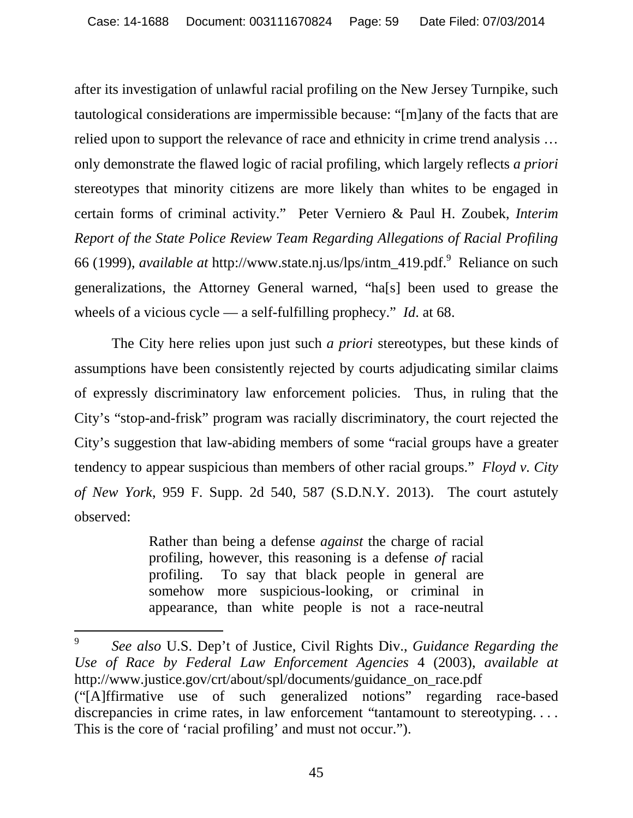after its investigation of unlawful racial profiling on the New Jersey Turnpike, such tautological considerations are impermissible because: "[m]any of the facts that are relied upon to support the relevance of race and ethnicity in crime trend analysis … only demonstrate the flawed logic of racial profiling, which largely reflects *a priori* stereotypes that minority citizens are more likely than whites to be engaged in certain forms of criminal activity." Peter Verniero & Paul H. Zoubek, *Interim Report of the State Police Review Team Regarding Allegations of Racial Profiling* 66 (1999), *available at* http://www.state.nj.us/lps/intm\_419.pdf.9 Reliance on such generalizations, the Attorney General warned, "ha[s] been used to grease the wheels of a vicious cycle — a self-fulfilling prophecy." *Id*. at 68.

The City here relies upon just such *a priori* stereotypes, but these kinds of assumptions have been consistently rejected by courts adjudicating similar claims of expressly discriminatory law enforcement policies. Thus, in ruling that the City's "stop-and-frisk" program was racially discriminatory, the court rejected the City's suggestion that law-abiding members of some "racial groups have a greater tendency to appear suspicious than members of other racial groups." *Floyd v. City of New York*, 959 F. Supp. 2d 540, 587 (S.D.N.Y. 2013). The court astutely observed:

> Rather than being a defense *against* the charge of racial profiling, however, this reasoning is a defense *of* racial profiling. To say that black people in general are somehow more suspicious-looking, or criminal in appearance, than white people is not a race-neutral

 $\overline{9}$ <sup>9</sup> *See also* U.S. Dep't of Justice, Civil Rights Div., *Guidance Regarding the Use of Race by Federal Law Enforcement Agencies* 4 (2003), *available at*  http://www.justice.gov/crt/about/spl/documents/guidance\_on\_race.pdf ("[A]ffirmative use of such generalized notions" regarding race-based discrepancies in crime rates, in law enforcement "tantamount to stereotyping.... This is the core of 'racial profiling' and must not occur.").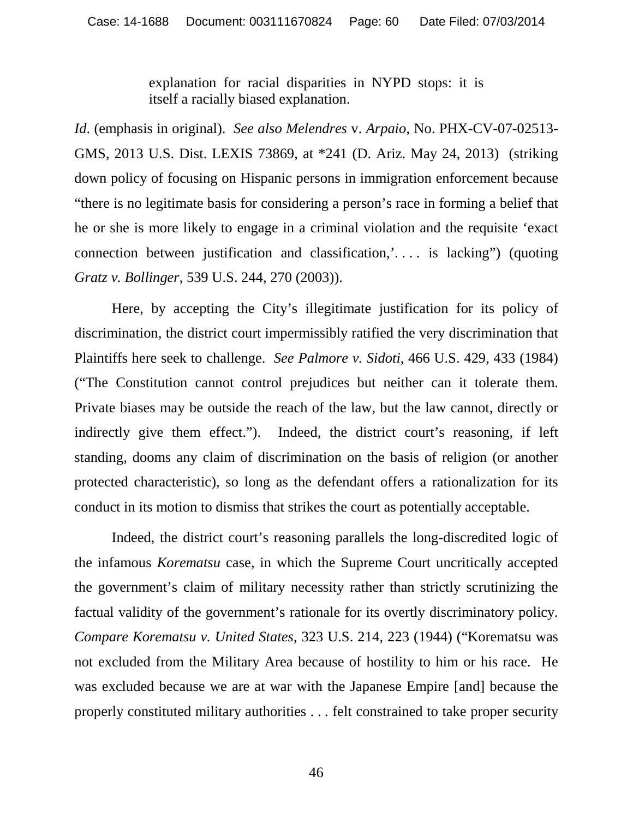explanation for racial disparities in NYPD stops: it is itself a racially biased explanation.

*Id*. (emphasis in original). *See also Melendres* v. *Arpaio*, No. PHX-CV-07-02513- GMS, 2013 U.S. Dist. LEXIS 73869, at \*241 (D. Ariz. May 24, 2013) (striking down policy of focusing on Hispanic persons in immigration enforcement because "there is no legitimate basis for considering a person's race in forming a belief that he or she is more likely to engage in a criminal violation and the requisite 'exact connection between justification and classification,'. . . . is lacking") (quoting *Gratz v. Bollinger*, 539 U.S. 244, 270 (2003)).

Here, by accepting the City's illegitimate justification for its policy of discrimination, the district court impermissibly ratified the very discrimination that Plaintiffs here seek to challenge. *See Palmore v. Sidoti*, 466 U.S. 429, 433 (1984) ("The Constitution cannot control prejudices but neither can it tolerate them. Private biases may be outside the reach of the law, but the law cannot, directly or indirectly give them effect."). Indeed, the district court's reasoning, if left standing, dooms any claim of discrimination on the basis of religion (or another protected characteristic), so long as the defendant offers a rationalization for its conduct in its motion to dismiss that strikes the court as potentially acceptable.

Indeed, the district court's reasoning parallels the long-discredited logic of the infamous *Korematsu* case, in which the Supreme Court uncritically accepted the government's claim of military necessity rather than strictly scrutinizing the factual validity of the government's rationale for its overtly discriminatory policy. *Compare Korematsu v. United States*, 323 U.S. 214, 223 (1944) ("Korematsu was not excluded from the Military Area because of hostility to him or his race. He was excluded because we are at war with the Japanese Empire [and] because the properly constituted military authorities . . . felt constrained to take proper security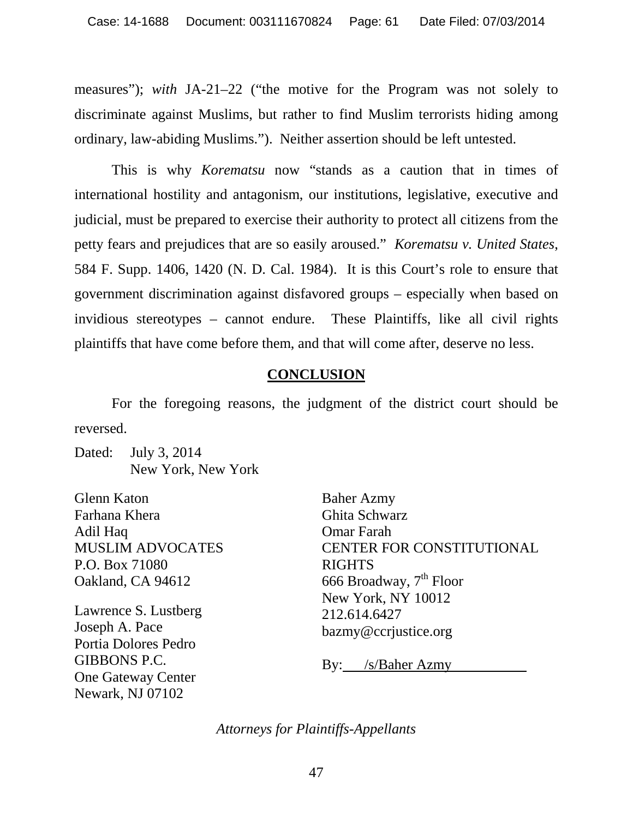measures"); *with* JA-21–22 ("the motive for the Program was not solely to discriminate against Muslims, but rather to find Muslim terrorists hiding among ordinary, law-abiding Muslims."). Neither assertion should be left untested.

This is why *Korematsu* now "stands as a caution that in times of international hostility and antagonism, our institutions, legislative, executive and judicial, must be prepared to exercise their authority to protect all citizens from the petty fears and prejudices that are so easily aroused." *Korematsu v. United States*, 584 F. Supp. 1406, 1420 (N. D. Cal. 1984). It is this Court's role to ensure that government discrimination against disfavored groups – especially when based on invidious stereotypes – cannot endure. These Plaintiffs, like all civil rights plaintiffs that have come before them, and that will come after, deserve no less.

## **CONCLUSION**

For the foregoing reasons, the judgment of the district court should be reversed.

Dated: July 3, 2014 New York, New York

Glenn Katon Farhana Khera Adil Haq MUSLIM ADVOCATES P.O. Box 71080 Oakland, CA 94612

Lawrence S. Lustberg Joseph A. Pace Portia Dolores Pedro GIBBONS P.C. One Gateway Center Newark, NJ 07102

Baher Azmy Ghita Schwarz Omar Farah CENTER FOR CONSTITUTIONAL RIGHTS 666 Broadway,  $7<sup>th</sup>$  Floor New York, NY 10012 212.614.6427 bazmy@ccrjustice.org

By: /s/Baher Azmy

*Attorneys for Plaintiffs-Appellants*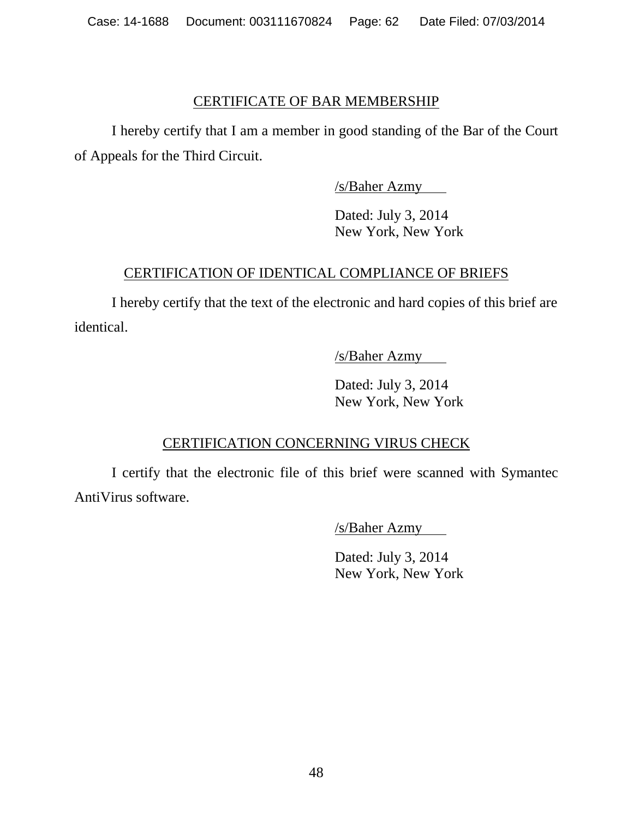#### CERTIFICATE OF BAR MEMBERSHIP

I hereby certify that I am a member in good standing of the Bar of the Court of Appeals for the Third Circuit.

/s/Baher Azmy

Dated: July 3, 2014 New York, New York

# CERTIFICATION OF IDENTICAL COMPLIANCE OF BRIEFS

I hereby certify that the text of the electronic and hard copies of this brief are identical.

/s/Baher Azmy

Dated: July 3, 2014 New York, New York

# CERTIFICATION CONCERNING VIRUS CHECK

I certify that the electronic file of this brief were scanned with Symantec AntiVirus software.

/s/Baher Azmy

Dated: July 3, 2014 New York, New York